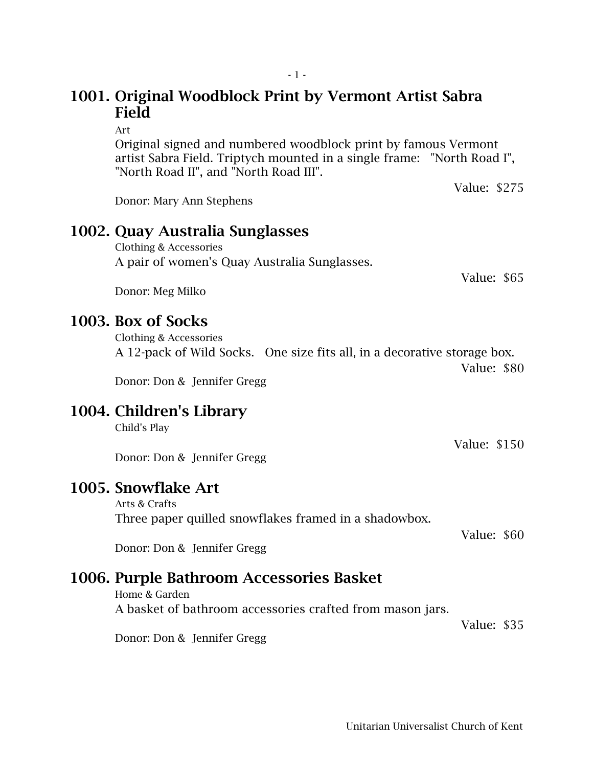### 1001. Original Woodblock Print by Vermont Artist Sabra Field

Art

Original signed and numbered woodblock print by famous Vermont artist Sabra Field. Triptych mounted in a single frame: "North Road I", "North Road II", and "North Road III".

Donor: Mary Ann Stephens

#### 1002. Quay Australia Sunglasses

Clothing & Accessories A pair of women's Quay Australia Sunglasses.

Donor: Meg Milko

#### 1003. Box of Socks

Clothing & Accessories A 12-pack of Wild Socks. One size fits all, in a decorative storage box. Value: \$80

Donor: Don & Jennifer Gregg

#### 1004. Children's Library

Child's Play

Donor: Don & Jennifer Gregg

### 1005. Snowflake Art

Arts & Crafts Three paper quilled snowflakes framed in a shadowbox.

Value: \$60

Donor: Don & Jennifer Gregg

## 1006. Purple Bathroom Accessories Basket

Home & Garden A basket of bathroom accessories crafted from mason jars.

Value: \$35

Donor: Don & Jennifer Gregg

Value: \$65

Value: \$275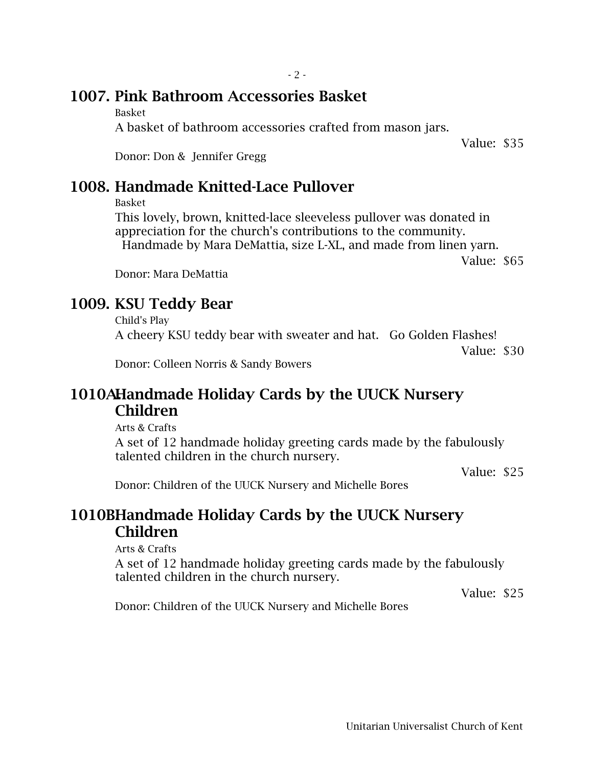### 1007. Pink Bathroom Accessories Basket

Basket

A basket of bathroom accessories crafted from mason jars.

Value: \$35

Donor: Don & Jennifer Gregg

### 1008. Handmade Knitted-Lace Pullover

Basket

This lovely, brown, knitted-lace sleeveless pullover was donated in appreciation for the church's contributions to the community. Handmade by Mara DeMattia, size L-XL, and made from linen yarn.

Value: \$65

Donor: Mara DeMattia

## 1009. KSU Teddy Bear

Child's Play A cheery KSU teddy bear with sweater and hat. Go Golden Flashes! Value: \$30

Donor: Colleen Norris & Sandy Bowers

### 1010A.Handmade Holiday Cards by the UUCK Nursery Children

Arts & Crafts

A set of 12 handmade holiday greeting cards made by the fabulously talented children in the church nursery.

Value: \$25

Donor: Children of the UUCK Nursery and Michelle Bores

### 1010BHandmade Holiday Cards by the UUCK Nursery Children

Arts & Crafts

A set of 12 handmade holiday greeting cards made by the fabulously talented children in the church nursery.

Value: \$25

Donor: Children of the UUCK Nursery and Michelle Bores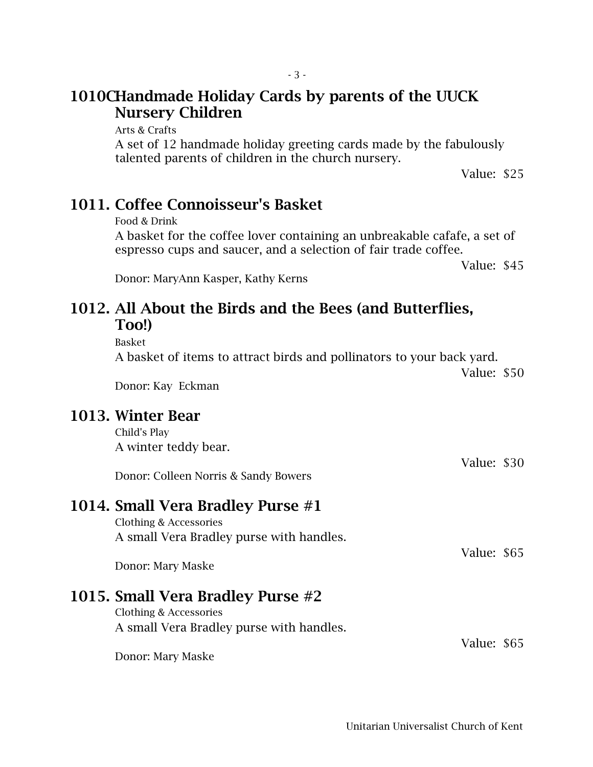### 1010CHandmade Holiday Cards by parents of the UUCK Nursery Children

Arts & Crafts

A set of 12 handmade holiday greeting cards made by the fabulously talented parents of children in the church nursery.

Value: \$25

### 1011. Coffee Connoisseur's Basket

Food & Drink

A basket for the coffee lover containing an unbreakable cafafe, a set of espresso cups and saucer, and a selection of fair trade coffee.

Value: \$45

Donor: MaryAnn Kasper, Kathy Kerns

#### 1012. All About the Birds and the Bees (and Butterflies, Too!)

Basket

A basket of items to attract birds and pollinators to your back yard.

Value: \$50

Donor: Kay Eckman

#### 1013. Winter Bear

Child's Play A winter teddy bear.

Value: \$30 Donor: Colleen Norris & Sandy Bowers

#### 1014. Small Vera Bradley Purse #1

Clothing & Accessories A small Vera Bradley purse with handles.

Value: \$65

Value: \$65

Donor: Mary Maske

## 1015. Small Vera Bradley Purse #2

Clothing & Accessories A small Vera Bradley purse with handles.

Donor: Mary Maske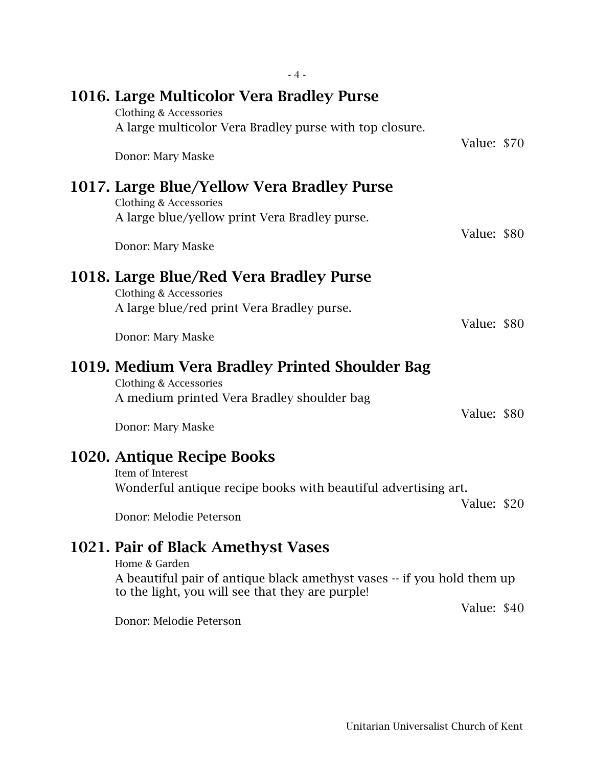| $-4-$                                                                                                                                                                                                         |             |  |
|---------------------------------------------------------------------------------------------------------------------------------------------------------------------------------------------------------------|-------------|--|
| 1016. Large Multicolor Vera Bradley Purse<br>Clothing & Accessories<br>A large multicolor Vera Bradley purse with top closure.                                                                                |             |  |
| Donor: Mary Maske                                                                                                                                                                                             | Value: \$70 |  |
| 1017. Large Blue/Yellow Vera Bradley Purse<br>Clothing & Accessories<br>A large blue/yellow print Vera Bradley purse.<br>Donor: Mary Maske                                                                    | Value: \$80 |  |
| 1018. Large Blue/Red Vera Bradley Purse<br>Clothing & Accessories<br>A large blue/red print Vera Bradley purse.                                                                                               |             |  |
| Donor: Mary Maske                                                                                                                                                                                             | Value: \$80 |  |
| 1019. Medium Vera Bradley Printed Shoulder Bag<br>Clothing & Accessories<br>A medium printed Vera Bradley shoulder bag<br>Donor: Mary Maske                                                                   | Value: \$80 |  |
| 1020. Antique Recipe Books<br>Item of Interest<br>Wonderful antique recipe books with beautiful advertising art.<br>Donor: Melodie Peterson                                                                   | Value: \$20 |  |
| 1021. Pair of Black Amethyst Vases<br>Home & Garden<br>A beautiful pair of antique black amethyst vases -- if you hold them up<br>to the light, you will see that they are purple!<br>Donor: Melodie Peterson | Value: \$40 |  |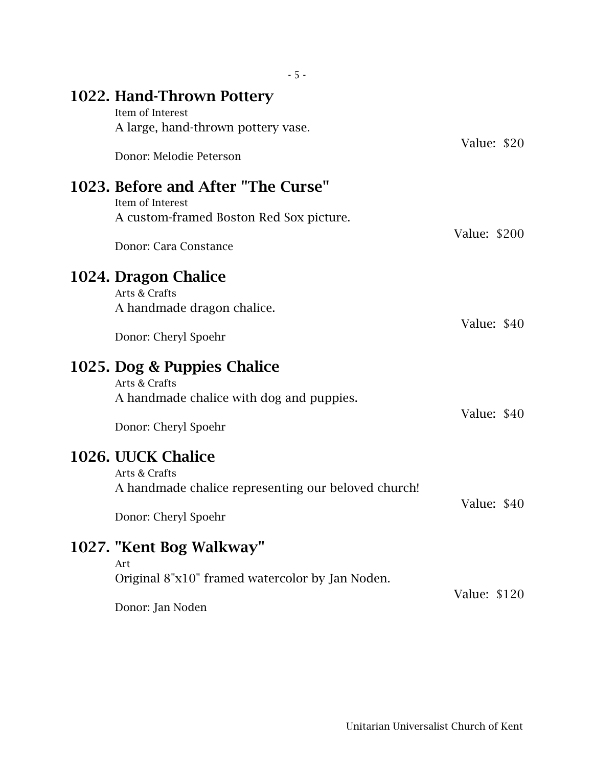| $-5 -$                                                                                                                     |              |
|----------------------------------------------------------------------------------------------------------------------------|--------------|
| 1022. Hand-Thrown Pottery<br>Item of Interest<br>A large, hand-thrown pottery vase.                                        |              |
| Donor: Melodie Peterson                                                                                                    | Value: \$20  |
| 1023. Before and After "The Curse"<br>Item of Interest<br>A custom-framed Boston Red Sox picture.<br>Donor: Cara Constance | Value: \$200 |
| 1024. Dragon Chalice<br>Arts & Crafts<br>A handmade dragon chalice.                                                        |              |
| Donor: Cheryl Spoehr                                                                                                       | Value: \$40  |
| 1025. Dog & Puppies Chalice<br>Arts & Crafts<br>A handmade chalice with dog and puppies.<br>Donor: Cheryl Spoehr           | Value: \$40  |
| 1026. UUCK Chalice<br>Arts & Crafts<br>A handmade chalice representing our beloved church!<br>Donor: Cheryl Spoehr         | Value: \$40  |
| 1027. "Kent Bog Walkway"                                                                                                   |              |
| Art<br>Original 8"x10" framed watercolor by Jan Noden.<br>Donor: Jan Noden                                                 | Value: \$120 |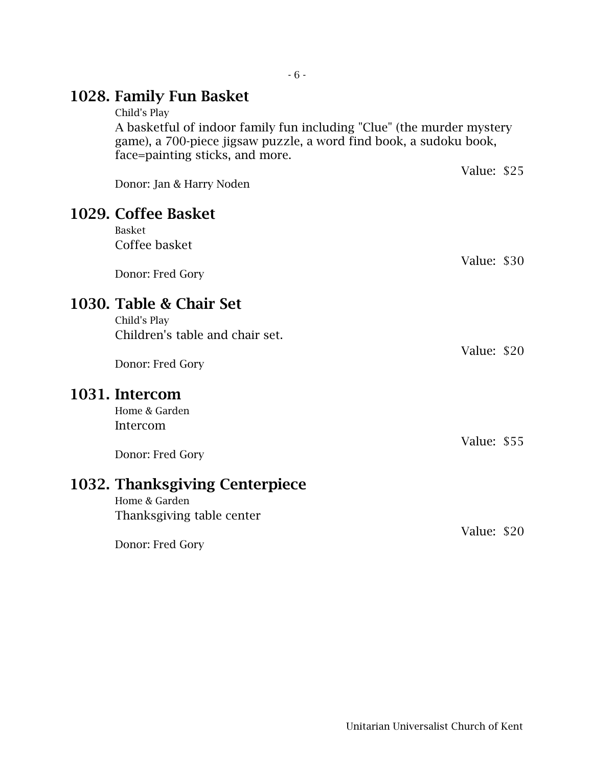# 1028. Family Fun Basket

| Child's Play<br>A basketful of indoor family fun including "Clue" (the murder mystery<br>game), a 700-piece jigsaw puzzle, a word find book, a sudoku book,<br>face=painting sticks, and more. |             |  |
|------------------------------------------------------------------------------------------------------------------------------------------------------------------------------------------------|-------------|--|
| Donor: Jan & Harry Noden                                                                                                                                                                       | Value: \$25 |  |
| 1029. Coffee Basket<br><b>Basket</b><br>Coffee basket<br>Donor: Fred Gory                                                                                                                      | Value: \$30 |  |
| 1030. Table & Chair Set<br>Child's Play<br>Children's table and chair set.<br>Donor: Fred Gory                                                                                                 | Value: \$20 |  |
| 1031. Intercom<br>Home & Garden<br>Intercom<br>Donor: Fred Gory                                                                                                                                | Value: \$55 |  |
| 1032. Thanksgiving Centerpiece<br>Home & Garden<br>Thanksgiving table center<br>Donor: Fred Gory                                                                                               | Value: \$20 |  |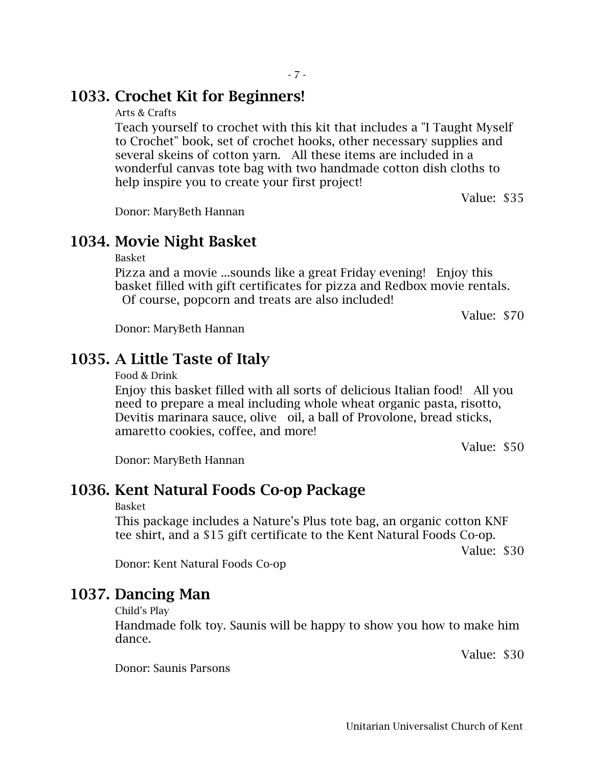#### 1033. Crochet Kit for Beginners!

Arts & Crafts

Teach yourself to crochet with this kit that includes a "I Taught Myself to Crochet" book, set of crochet hooks, other necessary supplies and several skeins of cotton yarn. All these items are included in a wonderful canvas tote bag with two handmade cotton dish cloths to help inspire you to create your first project!

Value: \$35

Donor: MaryBeth Hannan

#### 1034. Movie Night Basket

Basket

Pizza and a movie ...sounds like a great Friday evening! Enjoy this basket filled with gift certificates for pizza and Redbox movie rentals. Of course, popcorn and treats are also included!

Value: \$70

Donor: MaryBeth Hannan

### 1035. A Little Taste of Italy

Food & Drink

Enjoy this basket filled with all sorts of delicious Italian food! All you need to prepare a meal including whole wheat organic pasta, risotto, Devitis marinara sauce, olive oil, a ball of Provolone, bread sticks, amaretto cookies, coffee, and more!

Value: \$50

Donor: MaryBeth Hannan

#### 1036. Kent Natural Foods Co-op Package

#### Basket

This package includes a Nature's Plus tote bag, an organic cotton KNF tee shirt, and a \$15 gift certificate to the Kent Natural Foods Co-op.

Value: \$30

Donor: Kent Natural Foods Co-op

#### 1037. Dancing Man

Child's Play

Handmade folk toy. Saunis will be happy to show you how to make him dance.

Value: \$30

Donor: Saunis Parsons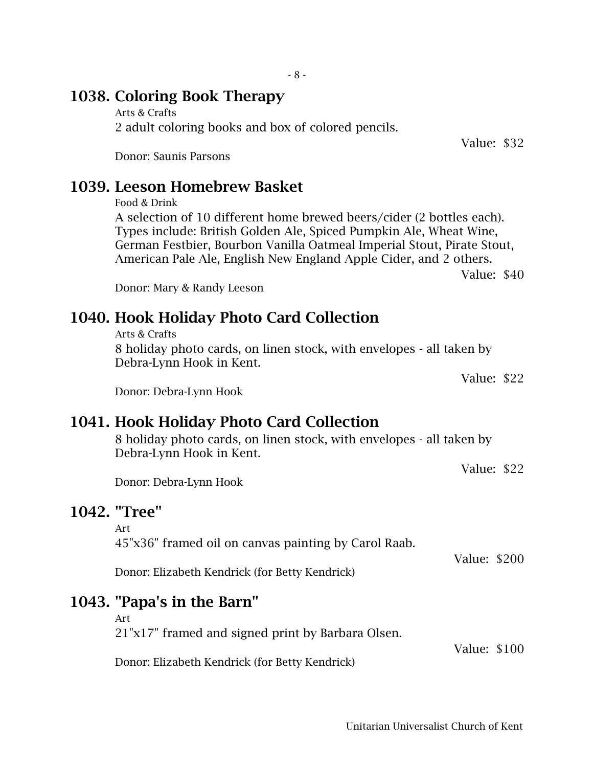### 1038. Coloring Book Therapy

Arts & Crafts 2 adult coloring books and box of colored pencils.

Donor: Saunis Parsons

## 1039. Leeson Homebrew Basket

```
Food & Drink
```
A selection of 10 different home brewed beers/cider (2 bottles each). Types include: British Golden Ale, Spiced Pumpkin Ale, Wheat Wine, German Festbier, Bourbon Vanilla Oatmeal Imperial Stout, Pirate Stout, American Pale Ale, English New England Apple Cider, and 2 others.

Value: \$40

Value: \$32

Donor: Mary & Randy Leeson

# 1040. Hook Holiday Photo Card Collection

Arts & Crafts

8 holiday photo cards, on linen stock, with envelopes - all taken by Debra-Lynn Hook in Kent.

Value: \$22

Value: \$22

Donor: Debra-Lynn Hook

# 1041. Hook Holiday Photo Card Collection

8 holiday photo cards, on linen stock, with envelopes - all taken by Debra-Lynn Hook in Kent.

Donor: Debra-Lynn Hook

## 1042. "Tree"

Art

45"x36" framed oil on canvas painting by Carol Raab.

Donor: Elizabeth Kendrick (for Betty Kendrick)

# 1043. "Papa's in the Barn"

Art

21"x17" framed and signed print by Barbara Olsen.

Donor: Elizabeth Kendrick (for Betty Kendrick)

Value: \$100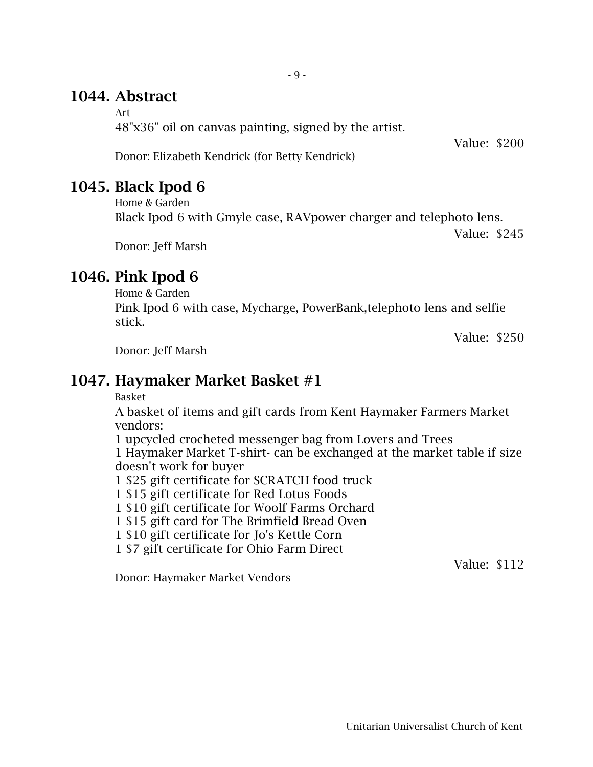## 1044. Abstract

Art

48"x36" oil on canvas painting, signed by the artist.

Value: \$200

Donor: Elizabeth Kendrick (for Betty Kendrick)

## 1045. Black Ipod 6

Home & Garden

Black Ipod 6 with Gmyle case, RAVpower charger and telephoto lens.

Value: \$245

Donor: Jeff Marsh

# 1046. Pink Ipod 6

Home & Garden

Pink Ipod 6 with case, Mycharge, PowerBank,telephoto lens and selfie stick.

Value: \$250

Donor: Jeff Marsh

## 1047. Haymaker Market Basket #1

Basket

A basket of items and gift cards from Kent Haymaker Farmers Market vendors:

1 upcycled crocheted messenger bag from Lovers and Trees 1 Haymaker Market T-shirt- can be exchanged at the market table if size doesn't work for buyer

1 \$25 gift certificate for SCRATCH food truck

1 \$15 gift certificate for Red Lotus Foods

1 \$10 gift certificate for Woolf Farms Orchard

1 \$15 gift card for The Brimfield Bread Oven

1 \$10 gift certificate for Jo's Kettle Corn

1 \$7 gift certificate for Ohio Farm Direct

Value: \$112

Donor: Haymaker Market Vendors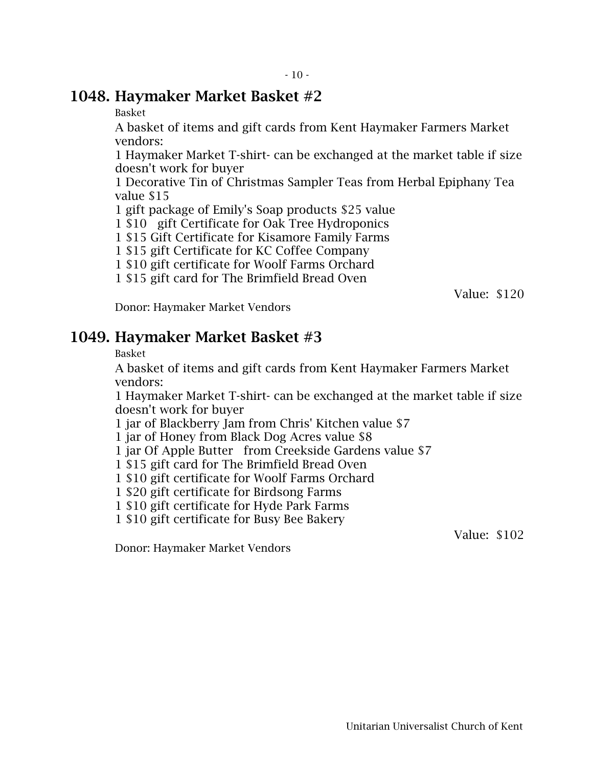#### 1048. Haymaker Market Basket #2

Basket

A basket of items and gift cards from Kent Haymaker Farmers Market vendors:

1 Haymaker Market T-shirt- can be exchanged at the market table if size doesn't work for buyer

1 Decorative Tin of Christmas Sampler Teas from Herbal Epiphany Tea value \$15

1 gift package of Emily's Soap products \$25 value

1 \$10 gift Certificate for Oak Tree Hydroponics

1 \$15 Gift Certificate for Kisamore Family Farms

1 \$15 gift Certificate for KC Coffee Company

1 \$10 gift certificate for Woolf Farms Orchard

1 \$15 gift card for The Brimfield Bread Oven

Value: \$120

Donor: Haymaker Market Vendors

### 1049. Haymaker Market Basket #3

Basket

A basket of items and gift cards from Kent Haymaker Farmers Market vendors:

1 Haymaker Market T-shirt- can be exchanged at the market table if size doesn't work for buyer

1 jar of Blackberry Jam from Chris' Kitchen value \$7

1 jar of Honey from Black Dog Acres value \$8

1 jar Of Apple Butter from Creekside Gardens value \$7

1 \$15 gift card for The Brimfield Bread Oven

1 \$10 gift certificate for Woolf Farms Orchard

1 \$20 gift certificate for Birdsong Farms

1 \$10 gift certificate for Hyde Park Farms

1 \$10 gift certificate for Busy Bee Bakery

Value: \$102

Donor: Haymaker Market Vendors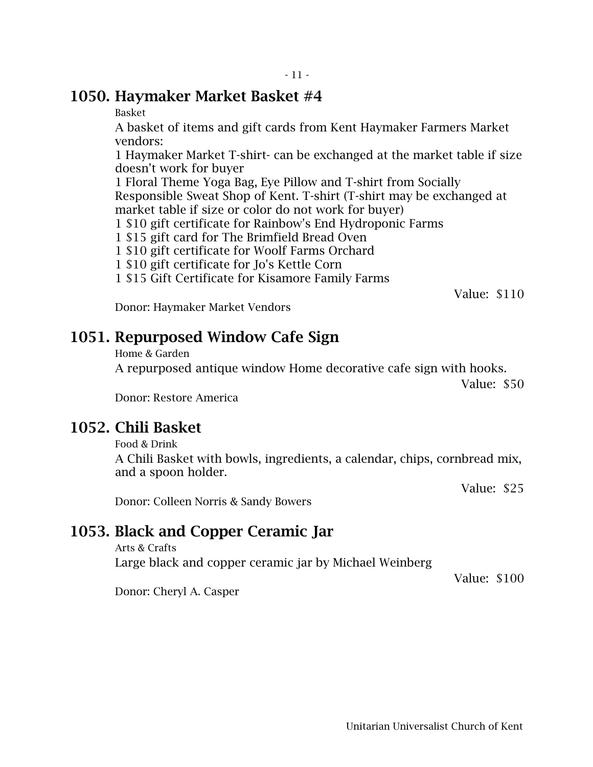#### 1050. Haymaker Market Basket #4

Basket

A basket of items and gift cards from Kent Haymaker Farmers Market vendors:

1 Haymaker Market T-shirt- can be exchanged at the market table if size doesn't work for buyer

1 Floral Theme Yoga Bag, Eye Pillow and T-shirt from Socially Responsible Sweat Shop of Kent. T-shirt (T-shirt may be exchanged at market table if size or color do not work for buyer)

1 \$10 gift certificate for Rainbow's End Hydroponic Farms

1 \$15 gift card for The Brimfield Bread Oven

1 \$10 gift certificate for Woolf Farms Orchard

1 \$10 gift certificate for Jo's Kettle Corn

1 \$15 Gift Certificate for Kisamore Family Farms

Value: \$110

Donor: Haymaker Market Vendors

### 1051. Repurposed Window Cafe Sign

Home & Garden

A repurposed antique window Home decorative cafe sign with hooks.

Value: \$50

Donor: Restore America

#### 1052. Chili Basket

Food & Drink

A Chili Basket with bowls, ingredients, a calendar, chips, cornbread mix, and a spoon holder.

Value: \$25

Value: \$100

Donor: Colleen Norris & Sandy Bowers

## 1053. Black and Copper Ceramic Jar

Arts & Crafts

Large black and copper ceramic jar by Michael Weinberg

Donor: Cheryl A. Casper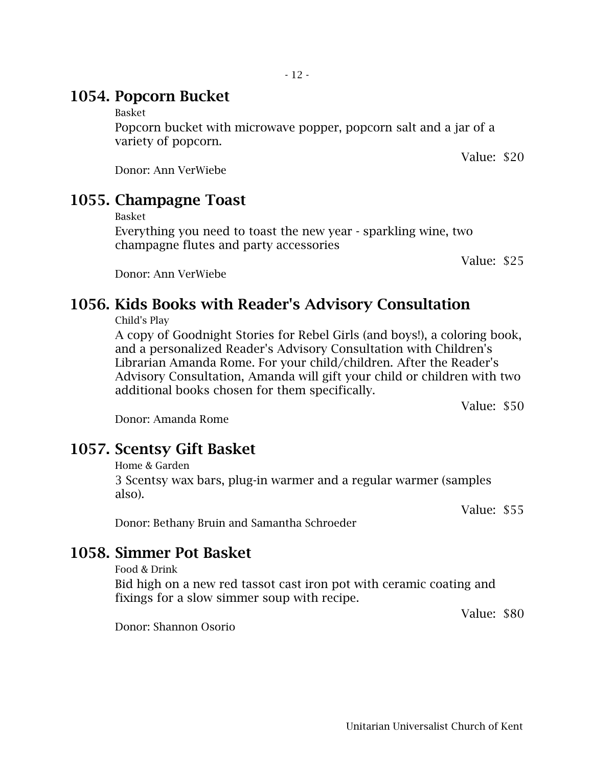### 1054. Popcorn Bucket

#### Basket

Popcorn bucket with microwave popper, popcorn salt and a jar of a variety of popcorn.

Donor: Ann VerWiebe

### 1055. Champagne Toast

Basket

Everything you need to toast the new year - sparkling wine, two champagne flutes and party accessories

Value: \$25

### Donor: Ann VerWiebe

### 1056. Kids Books with Reader's Advisory Consultation

Child's Play

A copy of Goodnight Stories for Rebel Girls (and boys!), a coloring book, and a personalized Reader's Advisory Consultation with Children's Librarian Amanda Rome. For your child/children. After the Reader's Advisory Consultation, Amanda will gift your child or children with two additional books chosen for them specifically.

Value: \$50

Donor: Amanda Rome

### 1057. Scentsy Gift Basket

Home & Garden

3 Scentsy wax bars, plug-in warmer and a regular warmer (samples also).

Value: \$55

Donor: Bethany Bruin and Samantha Schroeder

#### 1058. Simmer Pot Basket

Food & Drink

Bid high on a new red tassot cast iron pot with ceramic coating and fixings for a slow simmer soup with recipe.

Value: \$80

Donor: Shannon Osorio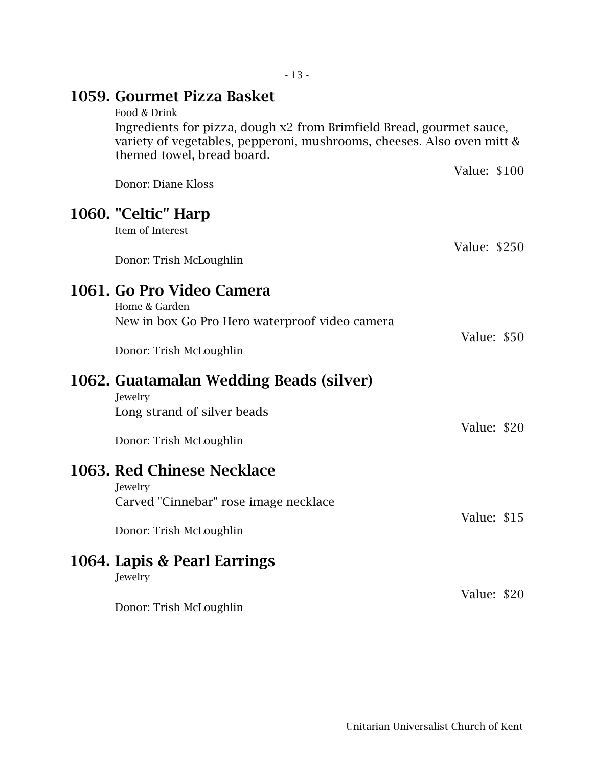| 1059. Gourmet Pizza Basket<br>Food & Drink                                                                                                                                   |              |
|------------------------------------------------------------------------------------------------------------------------------------------------------------------------------|--------------|
| Ingredients for pizza, dough x2 from Brimfield Bread, gourmet sauce,<br>variety of vegetables, pepperoni, mushrooms, cheeses. Also oven mitt &<br>themed towel, bread board. |              |
| Donor: Diane Kloss                                                                                                                                                           | Value: \$100 |
| 1060. "Celtic" Harp<br>Item of Interest                                                                                                                                      |              |
| Donor: Trish McLoughlin                                                                                                                                                      | Value: \$250 |
| 1061. Go Pro Video Camera<br>Home & Garden<br>New in box Go Pro Hero waterproof video camera                                                                                 |              |
| Donor: Trish McLoughlin                                                                                                                                                      | Value: \$50  |
| 1062. Guatamalan Wedding Beads (silver)<br>Jewelry                                                                                                                           |              |
| Long strand of silver beads                                                                                                                                                  | Value: \$20  |
| Donor: Trish McLoughlin                                                                                                                                                      |              |
| 1063. Red Chinese Necklace<br>Jewelry<br>Carved "Cinnebar" rose image necklace                                                                                               |              |
| Donor: Trish McLoughlin                                                                                                                                                      | Value: \$15  |
| 1064. Lapis & Pearl Earrings<br>Jewelry                                                                                                                                      |              |
| Donor: Trish McLoughlin                                                                                                                                                      | Value: \$20  |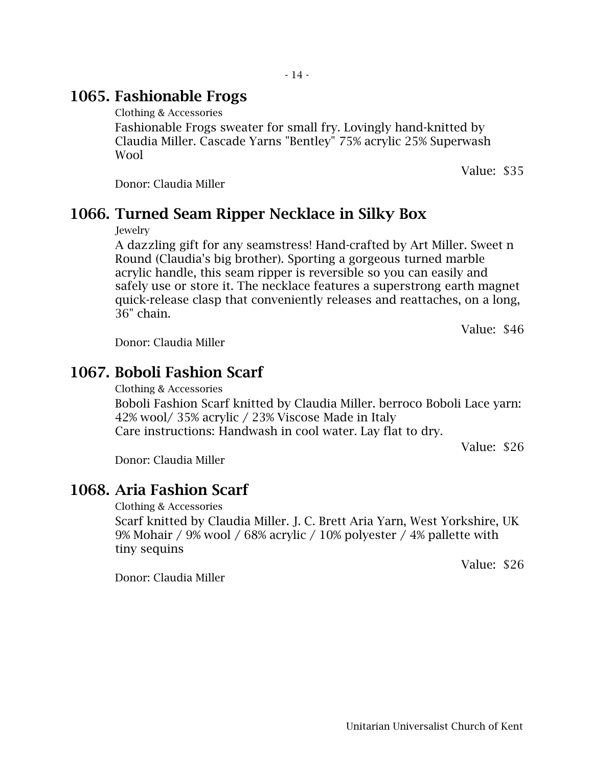### 1065. Fashionable Frogs

Clothing & Accessories

Fashionable Frogs sweater for small fry. Lovingly hand-knitted by Claudia Miller. Cascade Yarns "Bentley" 75% acrylic 25% Superwash Wool

Value: \$35

Donor: Claudia Miller

### 1066. Turned Seam Ripper Necklace in Silky Box

*<u>Jewelry</u>* 

A dazzling gift for any seamstress! Hand-crafted by Art Miller. Sweet n Round (Claudia's big brother). Sporting a gorgeous turned marble acrylic handle, this seam ripper is reversible so you can easily and safely use or store it. The necklace features a superstrong earth magnet quick-release clasp that conveniently releases and reattaches, on a long, 36" chain.

Value: \$46

Value: \$26

Donor: Claudia Miller

## 1067. Boboli Fashion Scarf

Clothing & Accessories

Boboli Fashion Scarf knitted by Claudia Miller. berroco Boboli Lace yarn: 42% wool/ 35% acrylic / 23% Viscose Made in Italy Care instructions: Handwash in cool water. Lay flat to dry.

Donor: Claudia Miller

## 1068. Aria Fashion Scarf

Clothing & Accessories

Scarf knitted by Claudia Miller. J. C. Brett Aria Yarn, West Yorkshire, UK 9% Mohair / 9% wool / 68% acrylic / 10% polyester / 4% pallette with tiny sequins

Value: \$26

Donor: Claudia Miller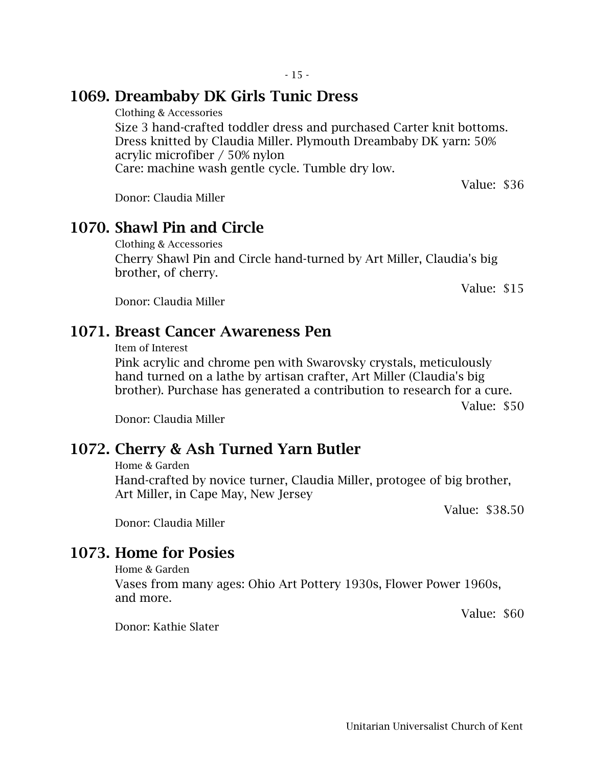### 1069. Dreambaby DK Girls Tunic Dress

Clothing & Accessories

Size 3 hand-crafted toddler dress and purchased Carter knit bottoms. Dress knitted by Claudia Miller. Plymouth Dreambaby DK yarn: 50% acrylic microfiber / 50% nylon Care: machine wash gentle cycle. Tumble dry low.

Donor: Claudia Miller

### 1070. Shawl Pin and Circle

Clothing & Accessories Cherry Shawl Pin and Circle hand-turned by Art Miller, Claudia's big brother, of cherry.

Donor: Claudia Miller

### 1071. Breast Cancer Awareness Pen

Item of Interest

Pink acrylic and chrome pen with Swarovsky crystals, meticulously hand turned on a lathe by artisan crafter, Art Miller (Claudia's big brother). Purchase has generated a contribution to research for a cure.

Value: \$50

Donor: Claudia Miller

### 1072. Cherry & Ash Turned Yarn Butler

Home & Garden

Hand-crafted by novice turner, Claudia Miller, protogee of big brother, Art Miller, in Cape May, New Jersey

Value: \$38.50

Donor: Claudia Miller

### 1073. Home for Posies

Home & Garden

Vases from many ages: Ohio Art Pottery 1930s, Flower Power 1960s, and more.

Value: \$60

Donor: Kathie Slater

Value: \$15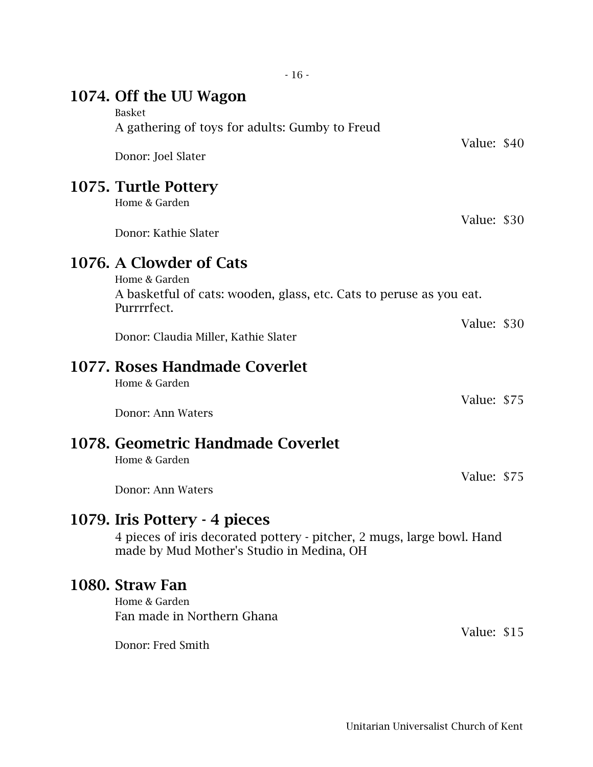| 1074. Off the UU Wagon<br><b>Basket</b>                                                                                                              |             |  |
|------------------------------------------------------------------------------------------------------------------------------------------------------|-------------|--|
| A gathering of toys for adults: Gumby to Freud                                                                                                       | Value: \$40 |  |
| Donor: Joel Slater                                                                                                                                   |             |  |
| 1075. Turtle Pottery<br>Home & Garden                                                                                                                |             |  |
| Donor: Kathie Slater                                                                                                                                 | Value: \$30 |  |
| 1076. A Clowder of Cats<br>Home & Garden                                                                                                             |             |  |
| A basketful of cats: wooden, glass, etc. Cats to peruse as you eat.<br>Purrrrfect.                                                                   |             |  |
| Donor: Claudia Miller, Kathie Slater                                                                                                                 | Value: \$30 |  |
| 1077. Roses Handmade Coverlet<br>Home & Garden                                                                                                       |             |  |
| Donor: Ann Waters                                                                                                                                    | Value: \$75 |  |
| 1078. Geometric Handmade Coverlet<br>Home & Garden                                                                                                   |             |  |
| Donor: Ann Waters                                                                                                                                    | Value: \$75 |  |
| 1079. Iris Pottery - 4 pieces<br>4 pieces of iris decorated pottery - pitcher, 2 mugs, large bowl. Hand<br>made by Mud Mother's Studio in Medina, OH |             |  |
| 1080. Straw Fan<br>Home & Garden<br>Fan made in Northern Ghana                                                                                       | Value: \$15 |  |
|                                                                                                                                                      |             |  |

- 16 -

Donor: Fred Smith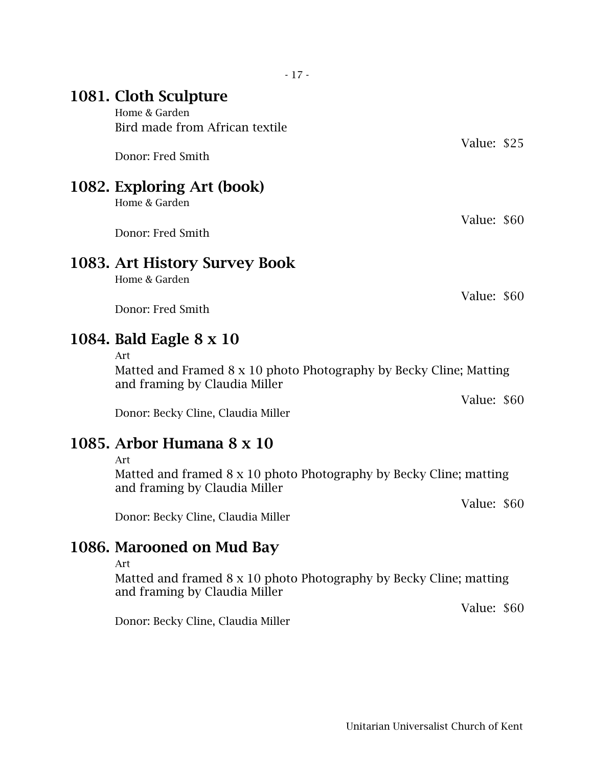## 1081. Cloth Sculpture

Home & Garden Bird made from African textile

Donor: Fred Smith

### 1082. Exploring Art (book)

Home & Garden

Donor: Fred Smith

### 1083. Art History Survey Book

Home & Garden

Donor: Fred Smith

## 1084. Bald Eagle 8 x 10

Art

Matted and Framed 8 x 10 photo Photography by Becky Cline; Matting and framing by Claudia Miller

Donor: Becky Cline, Claudia Miller

## 1085. Arbor Humana 8 x 10

Art

Matted and framed 8 x 10 photo Photography by Becky Cline; matting and framing by Claudia Miller

Value: \$60

Value: \$60

Donor: Becky Cline, Claudia Miller

### 1086. Marooned on Mud Bay

Art

Matted and framed 8 x 10 photo Photography by Becky Cline; matting and framing by Claudia Miller

Donor: Becky Cline, Claudia Miller

Value: \$25

Value: \$60

Value: \$60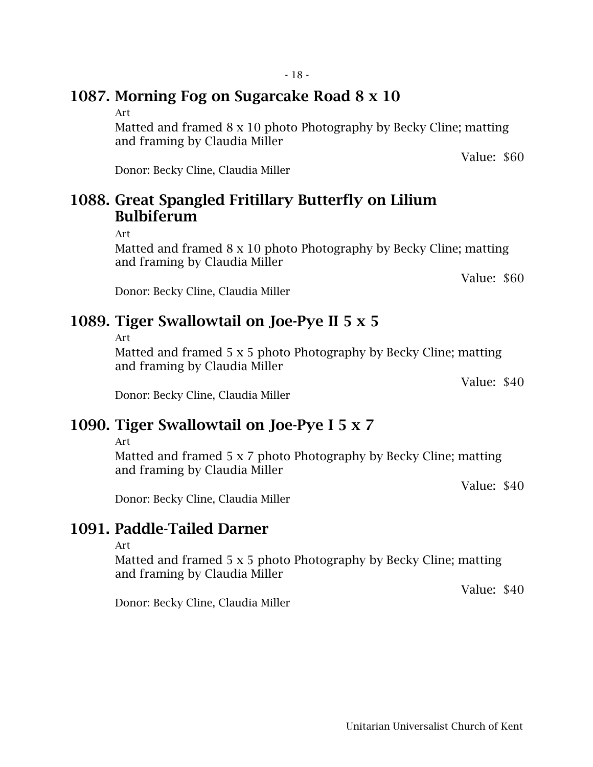### 1087. Morning Fog on Sugarcake Road 8 x 10

#### Art

Matted and framed 8 x 10 photo Photography by Becky Cline; matting and framing by Claudia Miller

Donor: Becky Cline, Claudia Miller

## 1088. Great Spangled Fritillary Butterfly on Lilium Bulbiferum

Art

Matted and framed 8 x 10 photo Photography by Becky Cline; matting and framing by Claudia Miller

Value: \$60

Value: \$60

Donor: Becky Cline, Claudia Miller

## 1089. Tiger Swallowtail on Joe-Pye II 5 x 5

Art

Matted and framed 5 x 5 photo Photography by Becky Cline; matting and framing by Claudia Miller

Value: \$40

Donor: Becky Cline, Claudia Miller

## 1090. Tiger Swallowtail on Joe-Pye I 5 x 7

Art

Matted and framed 5 x 7 photo Photography by Becky Cline; matting and framing by Claudia Miller

Value: \$40

Value: \$40

Donor: Becky Cline, Claudia Miller

### 1091. Paddle-Tailed Darner

Art

Matted and framed 5 x 5 photo Photography by Becky Cline; matting and framing by Claudia Miller

Donor: Becky Cline, Claudia Miller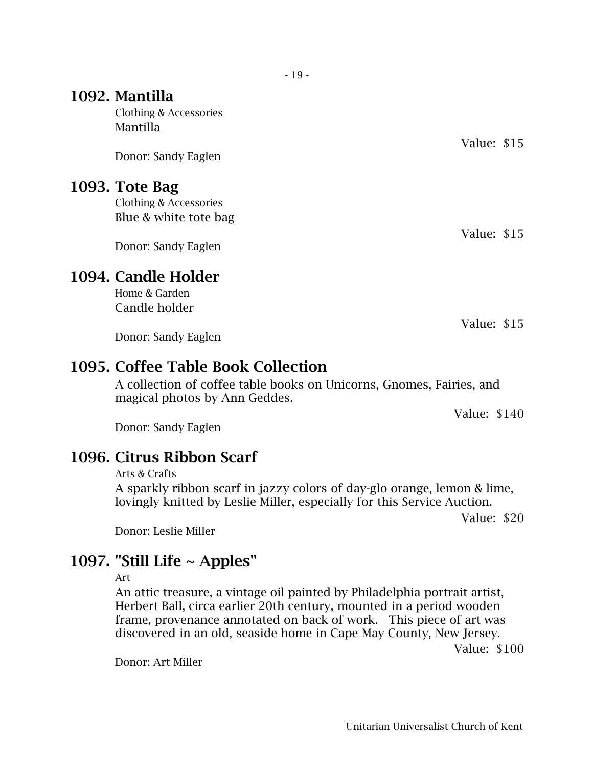### 1092. Mantilla

Clothing & Accessories Mantilla

Donor: Sandy Eaglen

#### 1093. Tote Bag

Clothing & Accessories Blue & white tote bag

Donor: Sandy Eaglen

### 1094. Candle Holder

Home & Garden Candle holder

Donor: Sandy Eaglen

### 1095. Coffee Table Book Collection

A collection of coffee table books on Unicorns, Gnomes, Fairies, and magical photos by Ann Geddes.

Donor: Sandy Eaglen

### 1096. Citrus Ribbon Scarf

#### Arts & Crafts

A sparkly ribbon scarf in jazzy colors of day-glo orange, lemon & lime, lovingly knitted by Leslie Miller, especially for this Service Auction.

Value: \$20

Donor: Leslie Miller

### 1097. "Still Life  $\sim$  Apples"

Art

An attic treasure, a vintage oil painted by Philadelphia portrait artist, Herbert Ball, circa earlier 20th century, mounted in a period wooden frame, provenance annotated on back of work. This piece of art was discovered in an old, seaside home in Cape May County, New Jersey.

Value: \$100

Donor: Art Miller

Value: \$15

Value: \$15

Value: \$15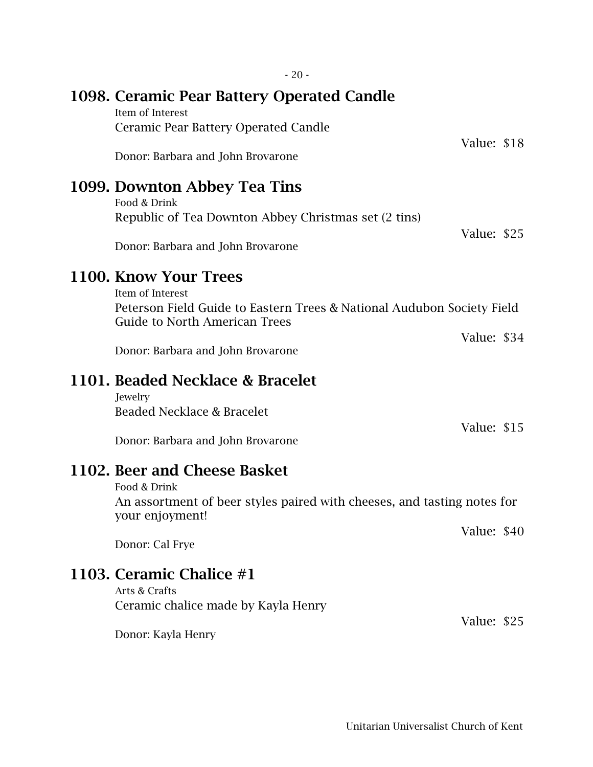| 1099. Downton Abbey Tea Tins<br>Food & Drink                                                                   |             |  |
|----------------------------------------------------------------------------------------------------------------|-------------|--|
| Republic of Tea Downton Abbey Christmas set (2 tins)                                                           |             |  |
| Donor: Barbara and John Brovarone                                                                              | Value: \$25 |  |
| 1100. Know Your Trees<br>Item of Interest                                                                      |             |  |
| Peterson Field Guide to Eastern Trees & National Audubon Society Field<br><b>Guide to North American Trees</b> |             |  |
|                                                                                                                | Value: \$34 |  |
| Donor: Barbara and John Brovarone                                                                              |             |  |
| 1101. Beaded Necklace & Bracelet<br>Jewelry                                                                    |             |  |
| Beaded Necklace & Bracelet                                                                                     |             |  |
| Donor: Barbara and John Brovarone                                                                              | Value: \$15 |  |
| 1102. Beer and Cheese Basket<br>Food & Drink                                                                   |             |  |
| An assortment of beer styles paired with cheeses, and tasting notes for<br>your enjoyment!                     |             |  |
| Donor: Cal Frye                                                                                                | Value: \$40 |  |
| 1103. Ceramic Chalice #1<br>Arts & Crafts                                                                      |             |  |
| Ceramic chalice made by Kayla Henry                                                                            |             |  |

1098. Ceramic Pear Battery Operated Candle

Ceramic Pear Battery Operated Candle

Donor: Barbara and John Brovarone

Item of Interest

Value: \$18

Value: \$25

# 1103.

Ceramic chalice made by Kayla Henry

Donor: Kayla Henry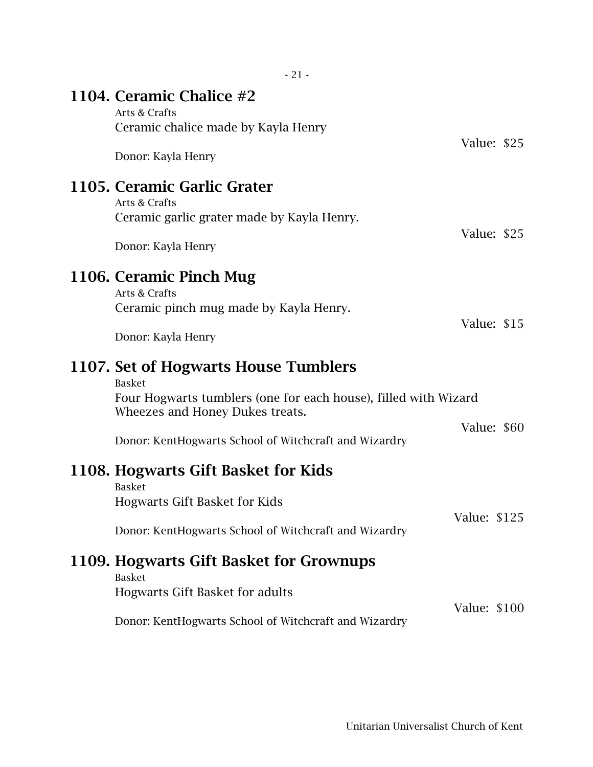| $-21-$                                                                                                                                                                                                               |              |  |
|----------------------------------------------------------------------------------------------------------------------------------------------------------------------------------------------------------------------|--------------|--|
| 1104. Ceramic Chalice #2<br>Arts & Crafts                                                                                                                                                                            |              |  |
| Ceramic chalice made by Kayla Henry<br>Donor: Kayla Henry                                                                                                                                                            | Value: \$25  |  |
| 1105. Ceramic Garlic Grater<br>Arts & Crafts<br>Ceramic garlic grater made by Kayla Henry.<br>Donor: Kayla Henry                                                                                                     | Value: \$25  |  |
| 1106. Ceramic Pinch Mug<br>Arts & Crafts<br>Ceramic pinch mug made by Kayla Henry.<br>Donor: Kayla Henry                                                                                                             | Value: \$15  |  |
| 1107. Set of Hogwarts House Tumblers<br><b>Basket</b><br>Four Hogwarts tumblers (one for each house), filled with Wizard<br>Wheezes and Honey Dukes treats.<br>Donor: KentHogwarts School of Witchcraft and Wizardry | Value: \$60  |  |
| 1108. Hogwarts Gift Basket for Kids<br><b>Basket</b><br><b>Hogwarts Gift Basket for Kids</b><br>Donor: KentHogwarts School of Witchcraft and Wizardry<br>1109. Hogwarts Gift Basket for Grownups                     | Value: \$125 |  |
| <b>Basket</b><br><b>Hogwarts Gift Basket for adults</b><br>Donor: KentHogwarts School of Witchcraft and Wizardry                                                                                                     | Value: \$100 |  |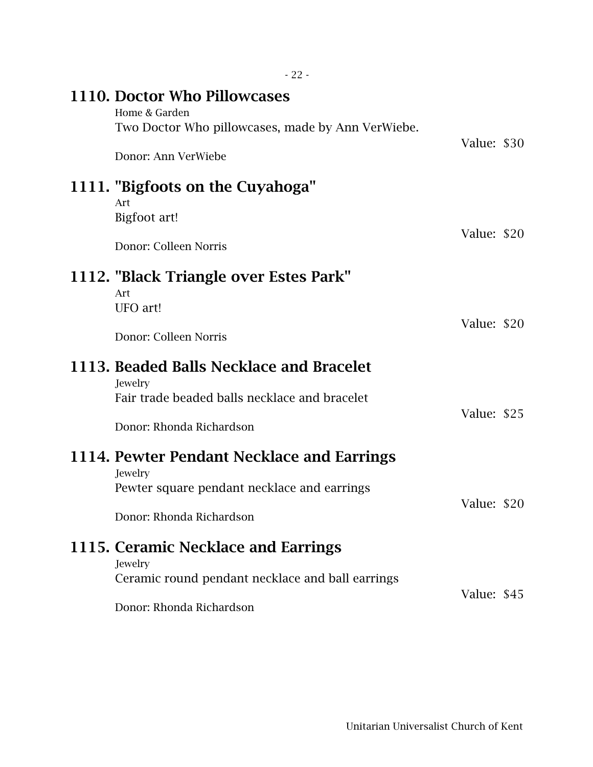| 1110. Doctor Who Pillowcases<br>Home & Garden<br>Two Doctor Who pillowcases, made by Ann VerWiebe.                               | Value: \$30 |  |
|----------------------------------------------------------------------------------------------------------------------------------|-------------|--|
| Donor: Ann VerWiebe                                                                                                              |             |  |
| 1111. "Bigfoots on the Cuyahoga"<br>Art<br>Bigfoot art!<br>Donor: Colleen Norris                                                 | Value: \$20 |  |
|                                                                                                                                  |             |  |
| 1112. "Black Triangle over Estes Park"<br>Art<br>UFO art!<br>Donor: Colleen Norris                                               | Value: \$20 |  |
| 1113. Beaded Balls Necklace and Bracelet                                                                                         |             |  |
| Jewelry<br>Fair trade beaded balls necklace and bracelet<br>Donor: Rhonda Richardson                                             | Value: \$25 |  |
|                                                                                                                                  |             |  |
| 1114. Pewter Pendant Necklace and Earrings<br>Jewelry<br>Pewter square pendant necklace and earrings<br>Donor: Rhonda Richardson | Value: \$20 |  |
| 1115. Ceramic Necklace and Earrings                                                                                              |             |  |
| Jewelry<br>Ceramic round pendant necklace and ball earrings                                                                      | Value: \$45 |  |
| Donor: Rhonda Richardson                                                                                                         |             |  |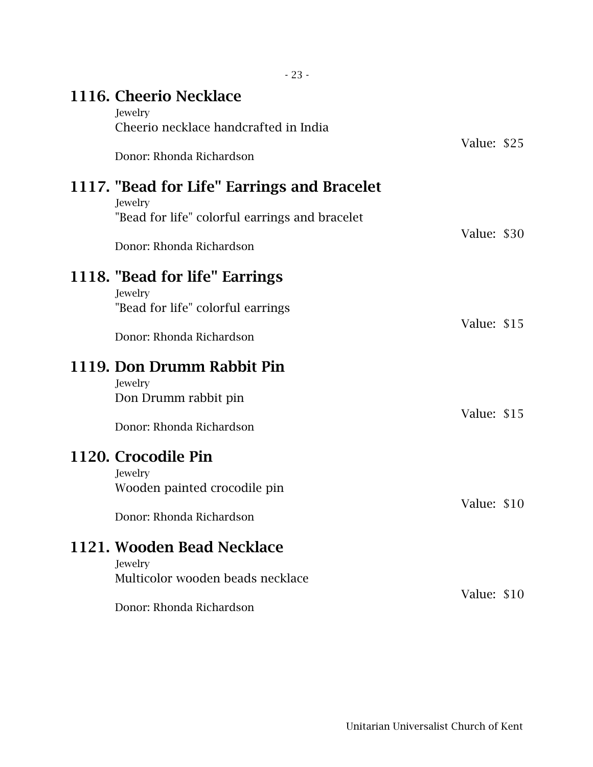| $-23-$                                                                                                                                   |             |  |
|------------------------------------------------------------------------------------------------------------------------------------------|-------------|--|
| 1116. Cheerio Necklace<br>Jewelry<br>Cheerio necklace handcrafted in India                                                               |             |  |
| Donor: Rhonda Richardson                                                                                                                 | Value: \$25 |  |
| 1117. "Bead for Life" Earrings and Bracelet<br>Jewelry<br>"Bead for life" colorful earrings and bracelet                                 |             |  |
| Donor: Rhonda Richardson                                                                                                                 | Value: \$30 |  |
| 1118. "Bead for life" Earrings<br>Jewelry<br>"Bead for life" colorful earrings<br>Donor: Rhonda Richardson<br>1119. Don Drumm Rabbit Pin | Value: \$15 |  |
| Jewelry<br>Don Drumm rabbit pin<br>Donor: Rhonda Richardson                                                                              | Value: \$15 |  |
| 1120. Crocodile Pin<br>Jewelry<br>Wooden painted crocodile pin<br>Donor: Rhonda Richardson                                               | Value: \$10 |  |
| 1121. Wooden Bead Necklace<br>Jewelry<br>Multicolor wooden beads necklace<br>Donor: Rhonda Richardson                                    | Value: \$10 |  |

Unitarian Universalist Church of Kent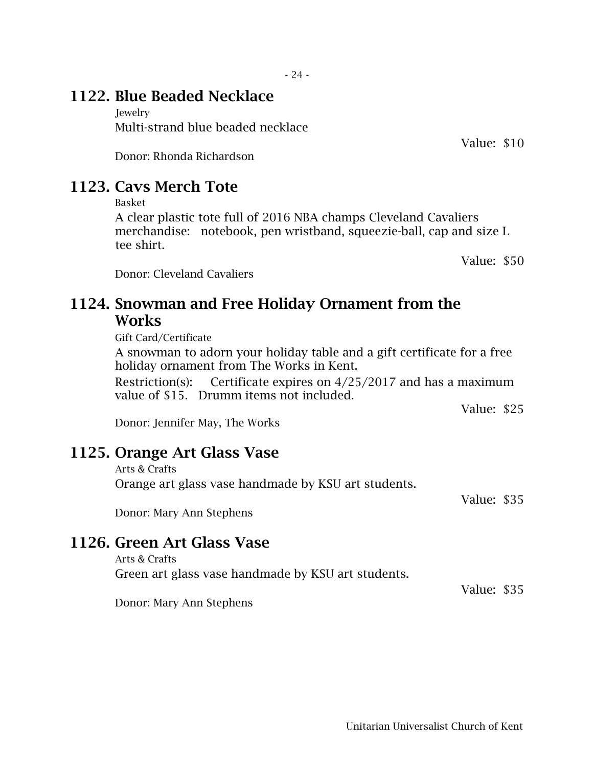### 1122. Blue Beaded Necklace

**Jewelry** Multi-strand blue beaded necklace

Donor: Rhonda Richardson

## 1123. Cavs Merch Tote

Basket

A clear plastic tote full of 2016 NBA champs Cleveland Cavaliers merchandise: notebook, pen wristband, squeezie-ball, cap and size L tee shirt.

Value: \$50

Donor: Cleveland Cavaliers

### 1124. Snowman and Free Holiday Ornament from the **Works**

Gift Card/Certificate

A snowman to adorn your holiday table and a gift certificate for a free holiday ornament from The Works in Kent.

Restriction(s): Certificate expires on  $4/25/2017$  and has a maximum value of \$15. Drumm items not included.

Value: \$25

Donor: Jennifer May, The Works

### 1125. Orange Art Glass Vase

Arts & Crafts

Orange art glass vase handmade by KSU art students.

Value: \$35

Donor: Mary Ann Stephens

### 1126. Green Art Glass Vase

Arts & Crafts Green art glass vase handmade by KSU art students.

Donor: Mary Ann Stephens

Value: \$10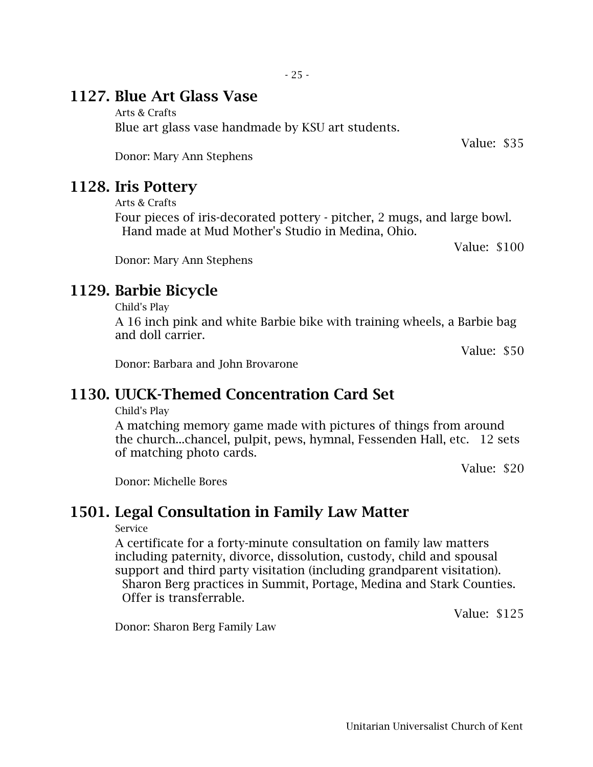### 1127. Blue Art Glass Vase

Arts & Crafts Blue art glass vase handmade by KSU art students.

Donor: Mary Ann Stephens

### 1128. Iris Pottery

Arts & Crafts

Four pieces of iris-decorated pottery - pitcher, 2 mugs, and large bowl. Hand made at Mud Mother's Studio in Medina, Ohio.

Value: \$100

Donor: Mary Ann Stephens

### 1129. Barbie Bicycle

Child's Play

A 16 inch pink and white Barbie bike with training wheels, a Barbie bag and doll carrier.

Value: \$50

Donor: Barbara and John Brovarone

### 1130. UUCK-Themed Concentration Card Set

Child's Play

A matching memory game made with pictures of things from around the church...chancel, pulpit, pews, hymnal, Fessenden Hall, etc. 12 sets of matching photo cards.

Value: \$20

Donor: Michelle Bores

### 1501. Legal Consultation in Family Law Matter

#### Service

A certificate for a forty-minute consultation on family law matters including paternity, divorce, dissolution, custody, child and spousal support and third party visitation (including grandparent visitation). Sharon Berg practices in Summit, Portage, Medina and Stark Counties. Offer is transferrable.

Value: \$125

Donor: Sharon Berg Family Law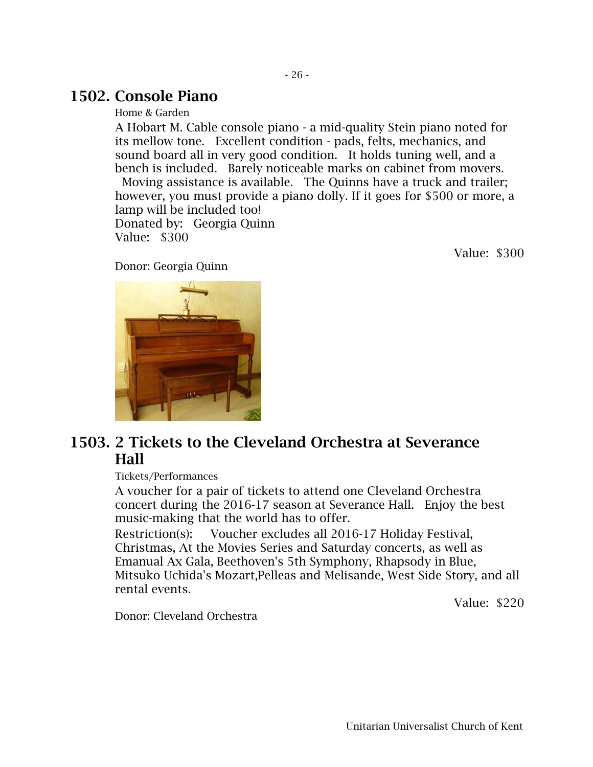### 1502. Console Piano

Home & Garden

A Hobart M. Cable console piano - a mid-quality Stein piano noted for its mellow tone. Excellent condition - pads, felts, mechanics, and sound board all in very good condition. It holds tuning well, and a bench is included. Barely noticeable marks on cabinet from movers.

Moving assistance is available. The Quinns have a truck and trailer; however, you must provide a piano dolly. If it goes for \$500 or more, a lamp will be included too! Donated by: Georgia Quinn Value: \$300

Value: \$300

Donor: Georgia Quinn

### 1503. 2 Tickets to the Cleveland Orchestra at Severance Hall

Tickets/Performances

A voucher for a pair of tickets to attend one Cleveland Orchestra concert during the 2016-17 season at Severance Hall. Enjoy the best music-making that the world has to offer.

Restriction(s): Voucher excludes all 2016-17 Holiday Festival, Christmas, At the Movies Series and Saturday concerts, as well as Emanual Ax Gala, Beethoven's 5th Symphony, Rhapsody in Blue, Mitsuko Uchida's Mozart,Pelleas and Melisande, West Side Story, and all rental events.

Value: \$220

Donor: Cleveland Orchestra

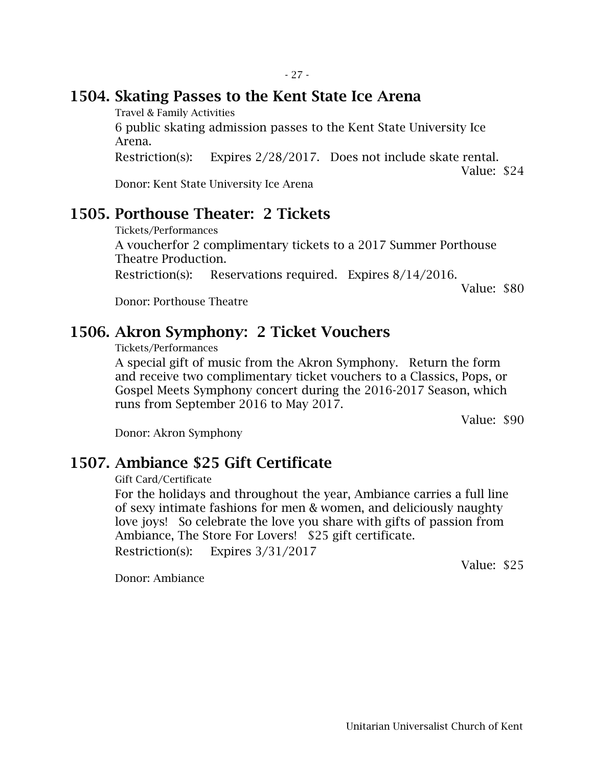### 1504. Skating Passes to the Kent State Ice Arena

Travel & Family Activities

6 public skating admission passes to the Kent State University Ice Arena.

Restriction(s): Expires 2/28/2017. Does not include skate rental.

Value: \$24

Donor: Kent State University Ice Arena

### 1505. Porthouse Theater: 2 Tickets

Tickets/Performances A voucherfor 2 complimentary tickets to a 2017 Summer Porthouse Theatre Production. Restriction(s): Reservations required. Expires 8/14/2016.

Value: \$80

Donor: Porthouse Theatre

## 1506. Akron Symphony: 2 Ticket Vouchers

Tickets/Performances

A special gift of music from the Akron Symphony. Return the form and receive two complimentary ticket vouchers to a Classics, Pops, or Gospel Meets Symphony concert during the 2016-2017 Season, which runs from September 2016 to May 2017.

Value: \$90

Donor: Akron Symphony

### 1507. Ambiance \$25 Gift Certificate

Gift Card/Certificate

For the holidays and throughout the year, Ambiance carries a full line of sexy intimate fashions for men & women, and deliciously naughty love joys! So celebrate the love you share with gifts of passion from Ambiance, The Store For Lovers! \$25 gift certificate. Restriction(s): Expires 3/31/2017

Value: \$25

Donor: Ambiance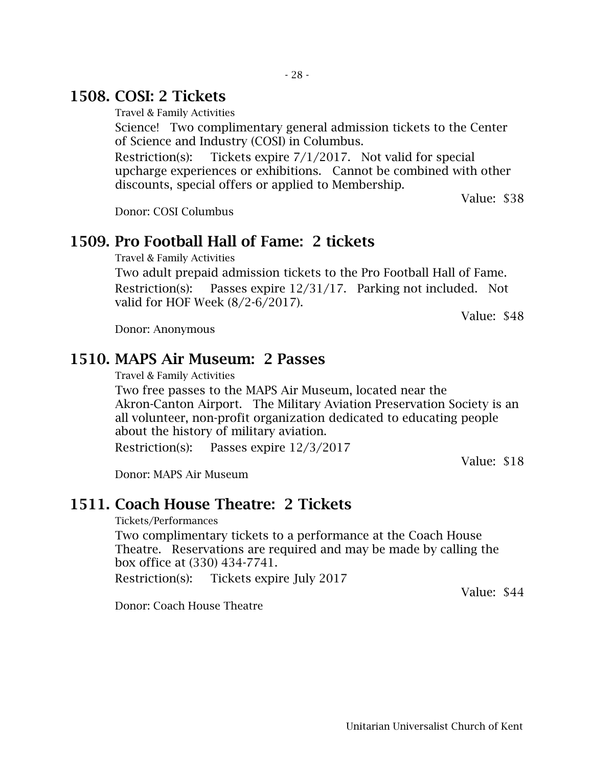### 1508. COSI: 2 Tickets

Travel & Family Activities

Science! Two complimentary general admission tickets to the Center of Science and Industry (COSI) in Columbus.

Restriction(s): Tickets expire  $7/1/2017$ . Not valid for special upcharge experiences or exhibitions. Cannot be combined with other discounts, special offers or applied to Membership.

Value: \$38

Donor: COSI Columbus

#### 1509. Pro Football Hall of Fame: 2 tickets

Travel & Family Activities

Two adult prepaid admission tickets to the Pro Football Hall of Fame. Restriction(s): Passes expire 12/31/17. Parking not included. Not valid for HOF Week (8/2-6/2017).

Value: \$48

Donor: Anonymous

#### 1510. MAPS Air Museum: 2 Passes

Travel & Family Activities

Two free passes to the MAPS Air Museum, located near the Akron-Canton Airport. The Military Aviation Preservation Society is an all volunteer, non-profit organization dedicated to educating people about the history of military aviation.

Restriction(s): Passes expire 12/3/2017

Value: \$18

Donor: MAPS Air Museum

#### 1511. Coach House Theatre: 2 Tickets

Tickets/Performances

Two complimentary tickets to a performance at the Coach House Theatre. Reservations are required and may be made by calling the box office at (330) 434-7741.

Restriction(s): Tickets expire July 2017

Value: \$44

Donor: Coach House Theatre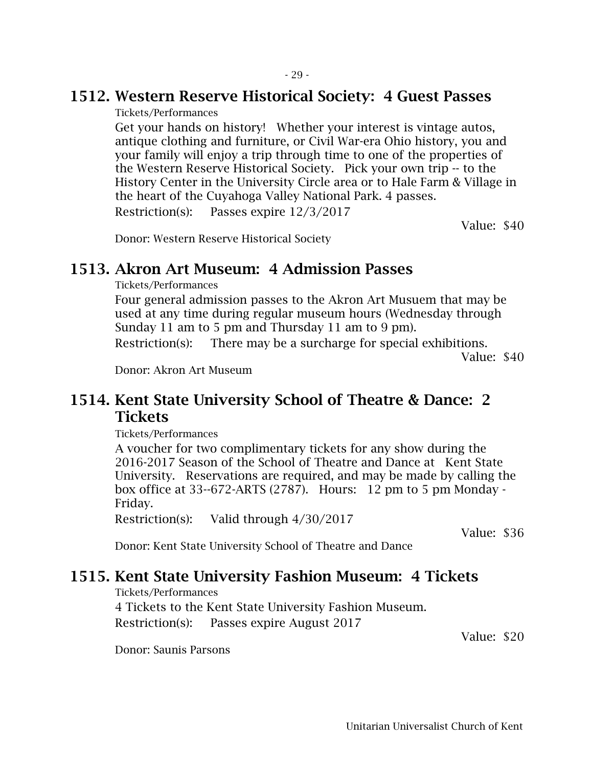### 1512. Western Reserve Historical Society: 4 Guest Passes

Tickets/Performances

Get your hands on history! Whether your interest is vintage autos, antique clothing and furniture, or Civil War-era Ohio history, you and your family will enjoy a trip through time to one of the properties of the Western Reserve Historical Society. Pick your own trip -- to the History Center in the University Circle area or to Hale Farm & Village in the heart of the Cuyahoga Valley National Park. 4 passes. Restriction(s): Passes expire 12/3/2017

Value: \$40

Donor: Western Reserve Historical Society

### 1513. Akron Art Museum: 4 Admission Passes

Tickets/Performances

Four general admission passes to the Akron Art Musuem that may be used at any time during regular museum hours (Wednesday through Sunday 11 am to 5 pm and Thursday 11 am to 9 pm).

Restriction(s): There may be a surcharge for special exhibitions.

Value: \$40

Donor: Akron Art Museum

### 1514. Kent State University School of Theatre & Dance: 2 **Tickets**

Tickets/Performances

A voucher for two complimentary tickets for any show during the 2016-2017 Season of the School of Theatre and Dance at Kent State University. Reservations are required, and may be made by calling the box office at 33--672-ARTS (2787). Hours: 12 pm to 5 pm Monday - Friday.

Restriction(s): Valid through 4/30/2017

Value: \$36

Donor: Kent State University School of Theatre and Dance

### 1515. Kent State University Fashion Museum: 4 Tickets

Tickets/Performances

4 Tickets to the Kent State University Fashion Museum. Restriction(s): Passes expire August 2017

Value: \$20

Donor: Saunis Parsons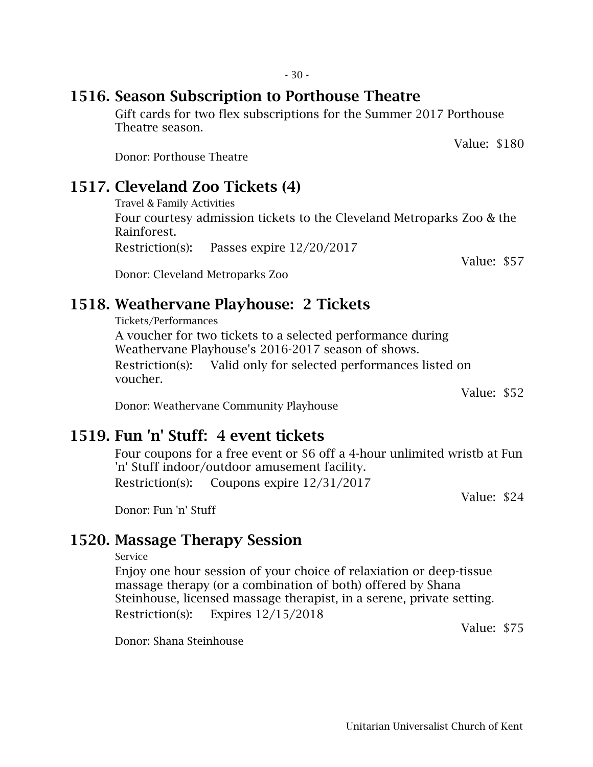### 1516. Season Subscription to Porthouse Theatre

Gift cards for two flex subscriptions for the Summer 2017 Porthouse Theatre season.

Donor: Porthouse Theatre

# 1517. Cleveland Zoo Tickets (4)

Travel & Family Activities

Four courtesy admission tickets to the Cleveland Metroparks Zoo & the Rainforest.

Restriction(s): Passes expire 12/20/2017

Donor: Cleveland Metroparks Zoo

# 1518. Weathervane Playhouse: 2 Tickets

Tickets/Performances A voucher for two tickets to a selected performance during Weathervane Playhouse's 2016-2017 season of shows. Restriction(s): Valid only for selected performances listed on voucher.

Value: \$52

Donor: Weathervane Community Playhouse

# 1519. Fun 'n' Stuff: 4 event tickets

Four coupons for a free event or \$6 off a 4-hour unlimited wristb at Fun 'n' Stuff indoor/outdoor amusement facility. Restriction(s): Coupons expire 12/31/2017

Value: \$24

Donor: Fun 'n' Stuff

## 1520. Massage Therapy Session

Service

Enjoy one hour session of your choice of relaxiation or deep-tissue massage therapy (or a combination of both) offered by Shana Steinhouse, licensed massage therapist, in a serene, private setting. Restriction(s): Expires 12/15/2018

Value: \$75

Donor: Shana Steinhouse

Value: \$180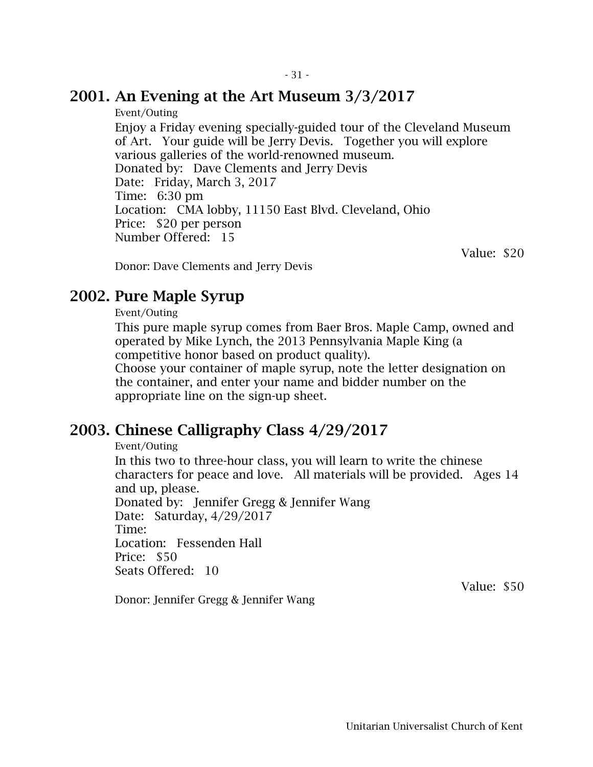#### 2001. An Evening at the Art Museum 3/3/2017

Event/Outing

Enjoy a Friday evening specially-guided tour of the Cleveland Museum of Art. Your guide will be Jerry Devis. Together you will explore various galleries of the world-renowned museum. Donated by: Dave Clements and Jerry Devis Date: Friday, March 3, 2017 Time: 6:30 pm Location: CMA lobby, 11150 East Blvd. Cleveland, Ohio Price: \$20 per person Number Offered: 15

Value: \$20

Donor: Dave Clements and Jerry Devis

### 2002. Pure Maple Syrup

Event/Outing

This pure maple syrup comes from Baer Bros. Maple Camp, owned and operated by Mike Lynch, the 2013 Pennsylvania Maple King (a competitive honor based on product quality).

Choose your container of maple syrup, note the letter designation on the container, and enter your name and bidder number on the appropriate line on the sign-up sheet.

## 2003. Chinese Calligraphy Class 4/29/2017

Event/Outing

In this two to three-hour class, you will learn to write the chinese characters for peace and love. All materials will be provided. Ages 14 and up, please.

Donated by: Jennifer Gregg & Jennifer Wang Date: Saturday, 4/29/2017 Time: Location: Fessenden Hall Price: \$50 Seats Offered: 10

Value: \$50

Donor: Jennifer Gregg & Jennifer Wang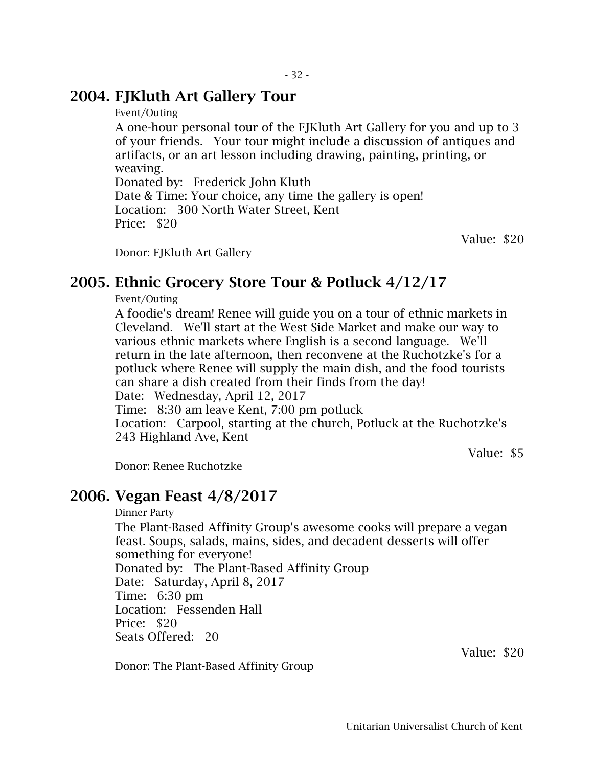### 2004. FJKluth Art Gallery Tour

Event/Outing

A one-hour personal tour of the FJKluth Art Gallery for you and up to 3 of your friends. Your tour might include a discussion of antiques and artifacts, or an art lesson including drawing, painting, printing, or weaving.

Donated by: Frederick John Kluth

Date & Time: Your choice, any time the gallery is open! Location: 300 North Water Street, Kent Price: \$20

Value: \$20

Donor: FJKluth Art Gallery

### 2005. Ethnic Grocery Store Tour & Potluck 4/12/17

Event/Outing

A foodie's dream! Renee will guide you on a tour of ethnic markets in Cleveland. We'll start at the West Side Market and make our way to various ethnic markets where English is a second language. We'll return in the late afternoon, then reconvene at the Ruchotzke's for a potluck where Renee will supply the main dish, and the food tourists can share a dish created from their finds from the day!

Date: Wednesday, April 12, 2017

Time: 8:30 am leave Kent, 7:00 pm potluck

Location: Carpool, starting at the church, Potluck at the Ruchotzke's 243 Highland Ave, Kent

Value: \$5

Donor: Renee Ruchotzke

#### 2006. Vegan Feast 4/8/2017

Dinner Party The Plant-Based Affinity Group's awesome cooks will prepare a vegan feast. Soups, salads, mains, sides, and decadent desserts will offer something for everyone! Donated by: The Plant-Based Affinity Group Date: Saturday, April 8, 2017 Time: 6:30 pm Location: Fessenden Hall Price: \$20 Seats Offered: 20

Donor: The Plant-Based Affinity Group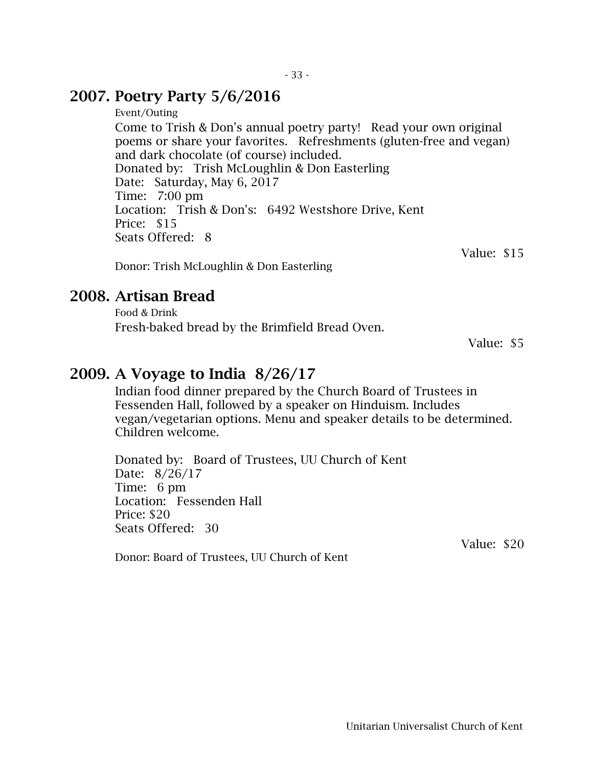#### 2007. Poetry Party 5/6/2016

Event/Outing

Come to Trish & Don's annual poetry party! Read your own original poems or share your favorites. Refreshments (gluten-free and vegan) and dark chocolate (of course) included. Donated by: Trish McLoughlin & Don Easterling Date: Saturday, May 6, 2017 Time: 7:00 pm Location: Trish & Don's: 6492 Westshore Drive, Kent Price: \$15 Seats Offered: 8

Value: \$15

Donor: Trish McLoughlin & Don Easterling

#### 2008. Artisan Bread

Food & Drink Fresh-baked bread by the Brimfield Bread Oven.

Value: \$5

### 2009. A Voyage to India 8/26/17

Indian food dinner prepared by the Church Board of Trustees in Fessenden Hall, followed by a speaker on Hinduism. Includes vegan/vegetarian options. Menu and speaker details to be determined. Children welcome.

Donated by: Board of Trustees, UU Church of Kent Date: 8/26/17 Time: 6 pm Location: Fessenden Hall Price: \$20 Seats Offered: 30

Value: \$20

Donor: Board of Trustees, UU Church of Kent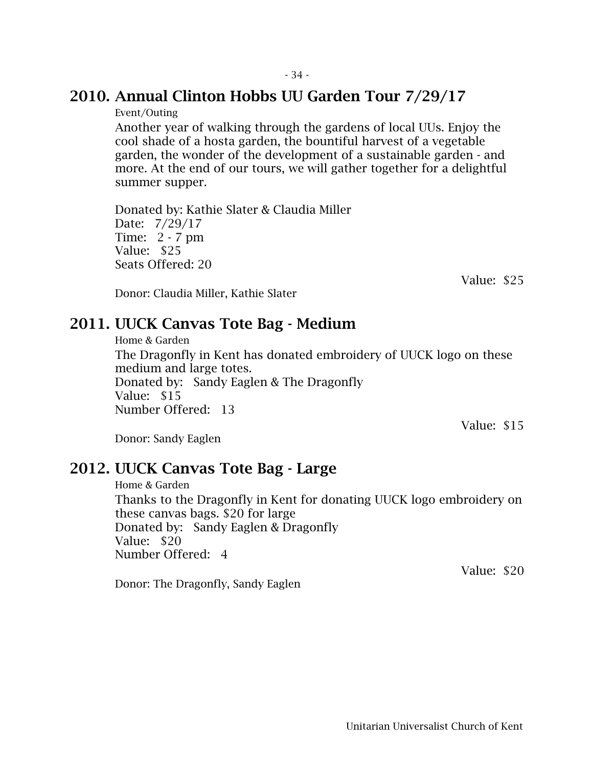#### 2010. Annual Clinton Hobbs UU Garden Tour 7/29/17

Event/Outing

Another year of walking through the gardens of local UUs. Enjoy the cool shade of a hosta garden, the bountiful harvest of a vegetable garden, the wonder of the development of a sustainable garden - and more. At the end of our tours, we will gather together for a delightful summer supper.

Donated by: Kathie Slater & Claudia Miller Date: 7/29/17 Time: 2 - 7 pm Value: \$25 Seats Offered: 20

Value: \$25

Donor: Claudia Miller, Kathie Slater

#### 2011. UUCK Canvas Tote Bag - Medium

Home & Garden The Dragonfly in Kent has donated embroidery of UUCK logo on these medium and large totes. Donated by: Sandy Eaglen & The Dragonfly Value: \$15 Number Offered: 13

Donor: Sandy Eaglen

#### 2012. UUCK Canvas Tote Bag - Large

Home & Garden Thanks to the Dragonfly in Kent for donating UUCK logo embroidery on these canvas bags. \$20 for large Donated by: Sandy Eaglen & Dragonfly Value: \$20 Number Offered: 4

Donor: The Dragonfly, Sandy Eaglen

Value: \$20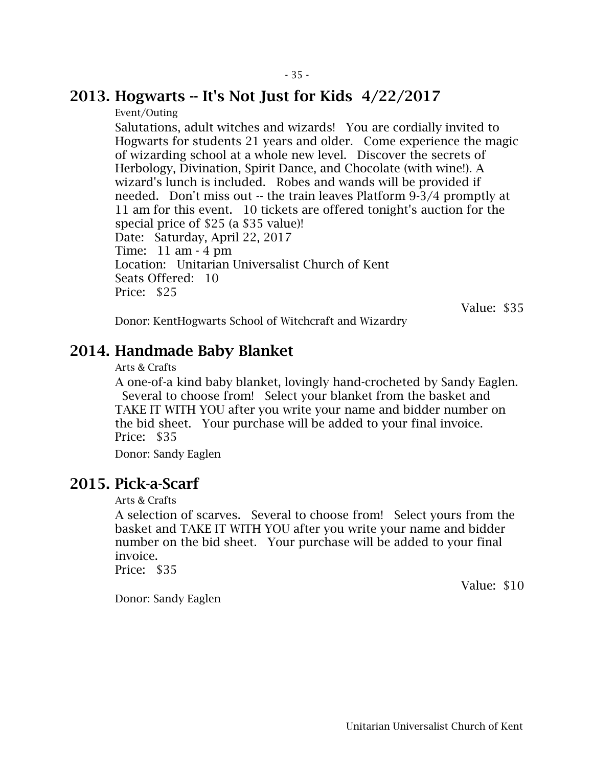#### 2013. Hogwarts  $-$  It's Not Just for Kids  $4/22/2017$

Event/Outing

Salutations, adult witches and wizards! You are cordially invited to Hogwarts for students 21 years and older. Come experience the magic of wizarding school at a whole new level. Discover the secrets of Herbology, Divination, Spirit Dance, and Chocolate (with wine!). A wizard's lunch is included. Robes and wands will be provided if needed. Don't miss out -- the train leaves Platform 9-3/4 promptly at 11 am for this event. 10 tickets are offered tonight's auction for the special price of \$25 (a \$35 value)! Date: Saturday, April 22, 2017 Time: 11 am - 4 pm Location: Unitarian Universalist Church of Kent Seats Offered: 10 Price: \$25

Value: \$35

Donor: KentHogwarts School of Witchcraft and Wizardry

### 2014. Handmade Baby Blanket

#### Arts & Crafts

A one-of-a kind baby blanket, lovingly hand-crocheted by Sandy Eaglen. Several to choose from! Select your blanket from the basket and TAKE IT WITH YOU after you write your name and bidder number on the bid sheet. Your purchase will be added to your final invoice. Price: \$35

Donor: Sandy Eaglen

### 2015. Pick-a-Scarf

Arts & Crafts

A selection of scarves. Several to choose from! Select yours from the basket and TAKE IT WITH YOU after you write your name and bidder number on the bid sheet. Your purchase will be added to your final invoice.

Price: \$35

Value: \$10

Donor: Sandy Eaglen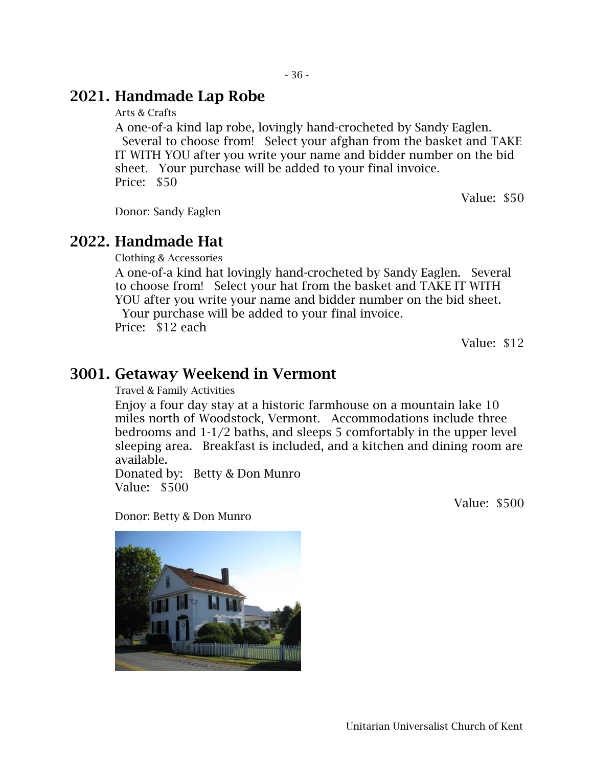#### 2021. Handmade Lap Robe

Arts & Crafts

A one-of-a kind lap robe, lovingly hand-crocheted by Sandy Eaglen. Several to choose from! Select your afghan from the basket and TAKE IT WITH YOU after you write your name and bidder number on the bid sheet. Your purchase will be added to your final invoice. Price: \$50

Donor: Sandy Eaglen

#### 2022. Handmade Hat

Clothing & Accessories

A one-of-a kind hat lovingly hand-crocheted by Sandy Eaglen. Several to choose from! Select your hat from the basket and TAKE IT WITH YOU after you write your name and bidder number on the bid sheet. Your purchase will be added to your final invoice.

Price: \$12 each

Value: \$12

Value: \$50

#### 3001. Getaway Weekend in Vermont

Travel & Family Activities

Enjoy a four day stay at a historic farmhouse on a mountain lake 10 miles north of Woodstock, Vermont. Accommodations include three bedrooms and 1-1/2 baths, and sleeps 5 comfortably in the upper level sleeping area. Breakfast is included, and a kitchen and dining room are available.

Donated by: Betty & Don Munro Value: \$500

Value: \$500

Donor: Betty & Don Munro

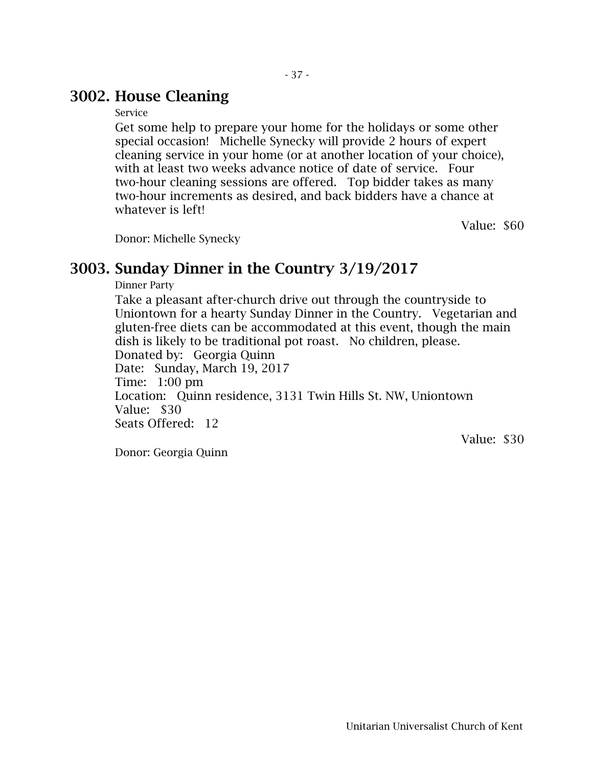### 3002. House Cleaning

#### Service

Get some help to prepare your home for the holidays or some other special occasion! Michelle Synecky will provide 2 hours of expert cleaning service in your home (or at another location of your choice), with at least two weeks advance notice of date of service. Four two-hour cleaning sessions are offered. Top bidder takes as many two-hour increments as desired, and back bidders have a chance at whatever is left!

Value: \$60

Donor: Michelle Synecky

### 3003. Sunday Dinner in the Country 3/19/2017

Dinner Party

Take a pleasant after-church drive out through the countryside to Uniontown for a hearty Sunday Dinner in the Country. Vegetarian and gluten-free diets can be accommodated at this event, though the main dish is likely to be traditional pot roast. No children, please. Donated by: Georgia Quinn Date: Sunday, March 19, 2017 Time: 1:00 pm Location: Quinn residence, 3131 Twin Hills St. NW, Uniontown Value: \$30 Seats Offered: 12

Donor: Georgia Quinn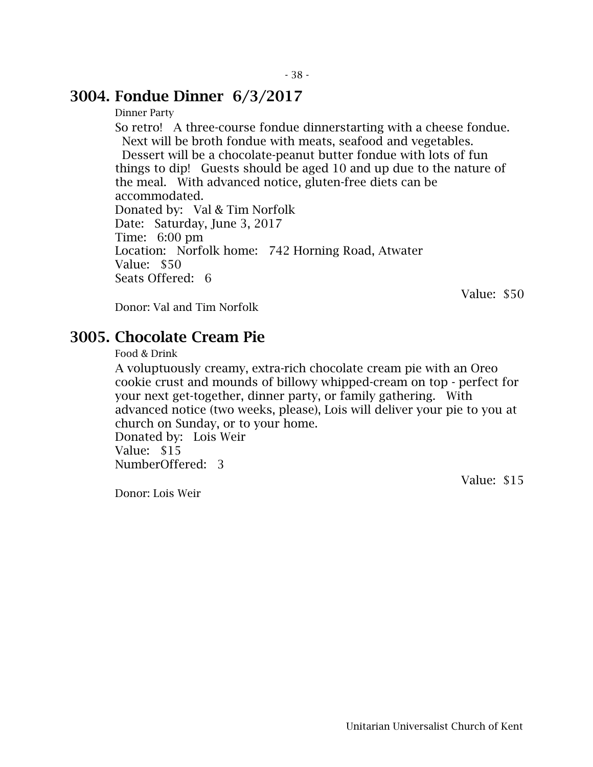#### 3004. Fondue Dinner 6/3/2017

Dinner Party

So retro! A three-course fondue dinnerstarting with a cheese fondue. Next will be broth fondue with meats, seafood and vegetables. Dessert will be a chocolate-peanut butter fondue with lots of fun things to dip! Guests should be aged 10 and up due to the nature of the meal. With advanced notice, gluten-free diets can be accommodated. Donated by: Val & Tim Norfolk Date: Saturday, June 3, 2017 Time: 6:00 pm Location: Norfolk home: 742 Horning Road, Atwater Value: \$50 Seats Offered: 6

Donor: Val and Tim Norfolk

Value: \$50

### 3005. Chocolate Cream Pie

Food & Drink

A voluptuously creamy, extra-rich chocolate cream pie with an Oreo cookie crust and mounds of billowy whipped-cream on top - perfect for your next get-together, dinner party, or family gathering. With advanced notice (two weeks, please), Lois will deliver your pie to you at church on Sunday, or to your home.

Donated by: Lois Weir Value: \$15 NumberOffered: 3

Donor: Lois Weir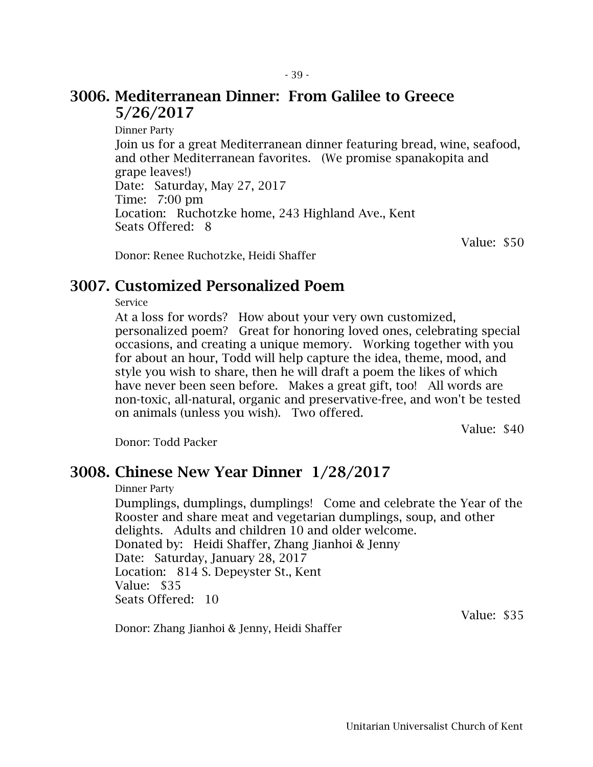#### 3006. Mediterranean Dinner: From Galilee to Greece 5/26/2017

Dinner Party Join us for a great Mediterranean dinner featuring bread, wine, seafood, and other Mediterranean favorites. (We promise spanakopita and grape leaves!) Date: Saturday, May 27, 2017 Time: 7:00 pm Location: Ruchotzke home, 243 Highland Ave., Kent Seats Offered: 8

Value: \$50

Donor: Renee Ruchotzke, Heidi Shaffer

### 3007. Customized Personalized Poem

Service

At a loss for words? How about your very own customized, personalized poem? Great for honoring loved ones, celebrating special occasions, and creating a unique memory. Working together with you for about an hour, Todd will help capture the idea, theme, mood, and style you wish to share, then he will draft a poem the likes of which have never been seen before. Makes a great gift, too! All words are non-toxic, all-natural, organic and preservative-free, and won't be tested on animals (unless you wish). Two offered.

Value: \$40

Donor: Todd Packer

### 3008. Chinese New Year Dinner 1/28/2017

Dinner Party

Dumplings, dumplings, dumplings! Come and celebrate the Year of the Rooster and share meat and vegetarian dumplings, soup, and other delights. Adults and children 10 and older welcome. Donated by: Heidi Shaffer, Zhang Jianhoi & Jenny Date: Saturday, January 28, 2017 Location: 814 S. Depeyster St., Kent Value: \$35 Seats Offered: 10

Donor: Zhang Jianhoi & Jenny, Heidi Shaffer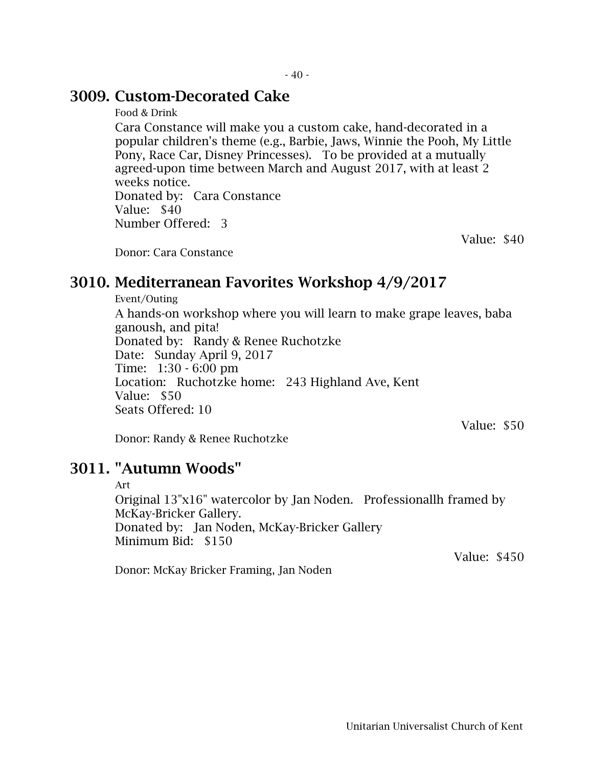#### 3009. Custom-Decorated Cake

Food & Drink

Cara Constance will make you a custom cake, hand-decorated in a popular children's theme (e.g., Barbie, Jaws, Winnie the Pooh, My Little Pony, Race Car, Disney Princesses). To be provided at a mutually agreed-upon time between March and August 2017, with at least 2 weeks notice. Donated by: Cara Constance

Value: \$40 Number Offered: 3

Donor: Cara Constance

### 3010. Mediterranean Favorites Workshop 4/9/2017

Event/Outing

A hands-on workshop where you will learn to make grape leaves, baba ganoush, and pita! Donated by: Randy & Renee Ruchotzke Date: Sunday April 9, 2017 Time: 1:30 - 6:00 pm Location: Ruchotzke home: 243 Highland Ave, Kent Value: \$50 Seats Offered: 10

Value: \$50

Value: \$40

Donor: Randy & Renee Ruchotzke

#### 3011. "Autumn Woods"

#### Art

Original 13"x16" watercolor by Jan Noden. Professionallh framed by McKay-Bricker Gallery. Donated by: Jan Noden, McKay-Bricker Gallery Minimum Bid: \$150 Value: \$450

Donor: McKay Bricker Framing, Jan Noden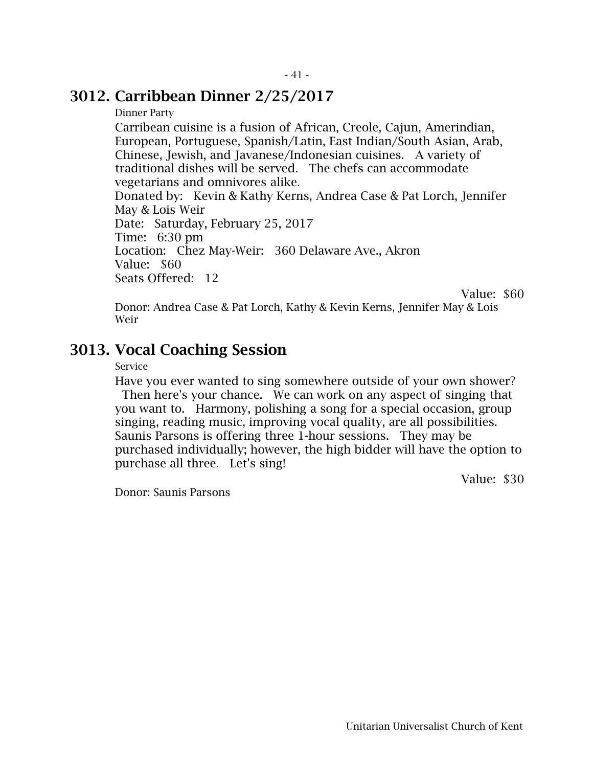#### 3012. Carribbean Dinner 2/25/2017

#### Dinner Party

Carribean cuisine is a fusion of African, Creole, Cajun, Amerindian, European, Portuguese, Spanish/Latin, East Indian/South Asian, Arab, Chinese, Jewish, and Javanese/Indonesian cuisines. A variety of traditional dishes will be served. The chefs can accommodate vegetarians and omnivores alike.

Donated by: Kevin & Kathy Kerns, Andrea Case & Pat Lorch, Jennifer May & Lois Weir Date: Saturday, February 25, 2017 Time: 6:30 pm Location: Chez May-Weir: 360 Delaware Ave., Akron Value: \$60 Seats Offered: 12

Value: \$60

Donor: Andrea Case & Pat Lorch, Kathy & Kevin Kerns, Jennifer May & Lois Weir

#### 3013. Vocal Coaching Session

#### Service

Have you ever wanted to sing somewhere outside of your own shower? Then here's your chance. We can work on any aspect of singing that you want to. Harmony, polishing a song for a special occasion, group singing, reading music, improving vocal quality, are all possibilities. Saunis Parsons is offering three 1-hour sessions. They may be purchased individually; however, the high bidder will have the option to purchase all three. Let's sing!

Value: \$30

Donor: Saunis Parsons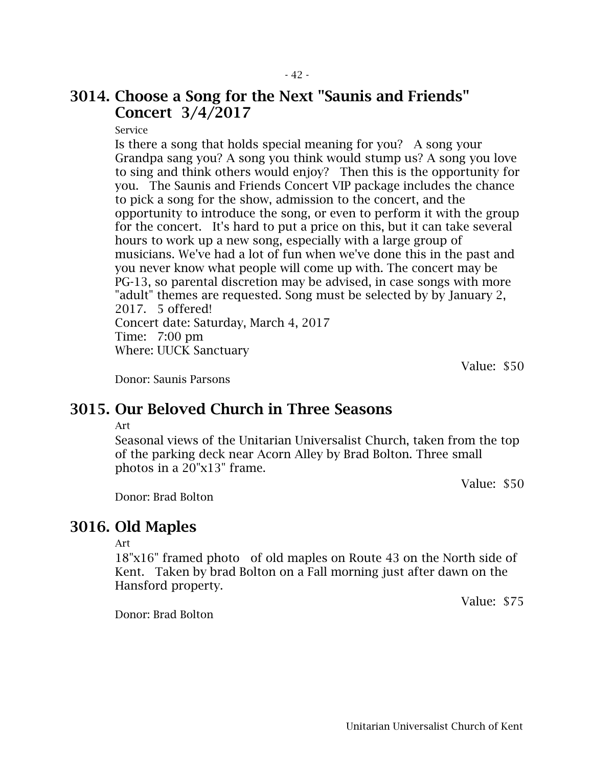### 3014. Choose a Song for the Next "Saunis and Friends" Concert 3/4/2017

Service

Is there a song that holds special meaning for you? A song your Grandpa sang you? A song you think would stump us? A song you love to sing and think others would enjoy? Then this is the opportunity for you. The Saunis and Friends Concert VIP package includes the chance to pick a song for the show, admission to the concert, and the opportunity to introduce the song, or even to perform it with the group for the concert. It's hard to put a price on this, but it can take several hours to work up a new song, especially with a large group of musicians. We've had a lot of fun when we've done this in the past and you never know what people will come up with. The concert may be PG-13, so parental discretion may be advised, in case songs with more "adult" themes are requested. Song must be selected by by January 2, 2017. 5 offered! Concert date: Saturday, March 4, 2017 Time: 7:00 pm Where: UUCK Sanctuary

Value: \$50

Donor: Saunis Parsons

### 3015. Our Beloved Church in Three Seasons

Art

Seasonal views of the Unitarian Universalist Church, taken from the top of the parking deck near Acorn Alley by Brad Bolton. Three small photos in a 20"x13" frame.

Value: \$50

Donor: Brad Bolton

#### 3016. Old Maples

Art

18"x16" framed photo of old maples on Route 43 on the North side of Kent. Taken by brad Bolton on a Fall morning just after dawn on the Hansford property.

Donor: Brad Bolton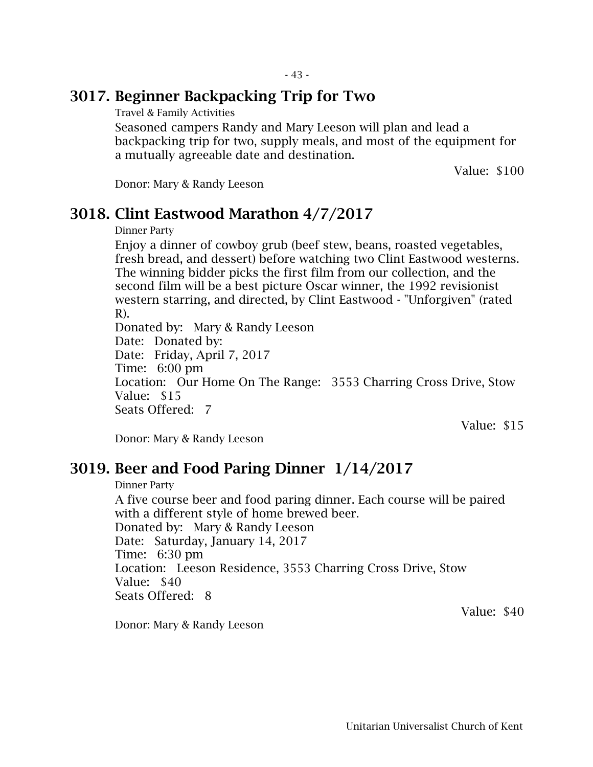### 3017. Beginner Backpacking Trip for Two

Travel & Family Activities

Seasoned campers Randy and Mary Leeson will plan and lead a backpacking trip for two, supply meals, and most of the equipment for a mutually agreeable date and destination.

Value: \$100

Donor: Mary & Randy Leeson

#### 3018. Clint Eastwood Marathon 4/7/2017

Dinner Party

Enjoy a dinner of cowboy grub (beef stew, beans, roasted vegetables, fresh bread, and dessert) before watching two Clint Eastwood westerns. The winning bidder picks the first film from our collection, and the second film will be a best picture Oscar winner, the 1992 revisionist western starring, and directed, by Clint Eastwood - "Unforgiven" (rated R).

Donated by: Mary & Randy Leeson Date: Donated by: Date: Friday, April 7, 2017 Time: 6:00 pm Location: Our Home On The Range: 3553 Charring Cross Drive, Stow Value: \$15 Seats Offered: 7

Value: \$15

Value: \$40

Donor: Mary & Randy Leeson

#### 3019. Beer and Food Paring Dinner 1/14/2017

Dinner Party

A five course beer and food paring dinner. Each course will be paired with a different style of home brewed beer. Donated by: Mary & Randy Leeson Date: Saturday, January 14, 2017 Time: 6:30 pm Location: Leeson Residence, 3553 Charring Cross Drive, Stow Value: \$40 Seats Offered: 8

Donor: Mary & Randy Leeson

Unitarian Universalist Church of Kent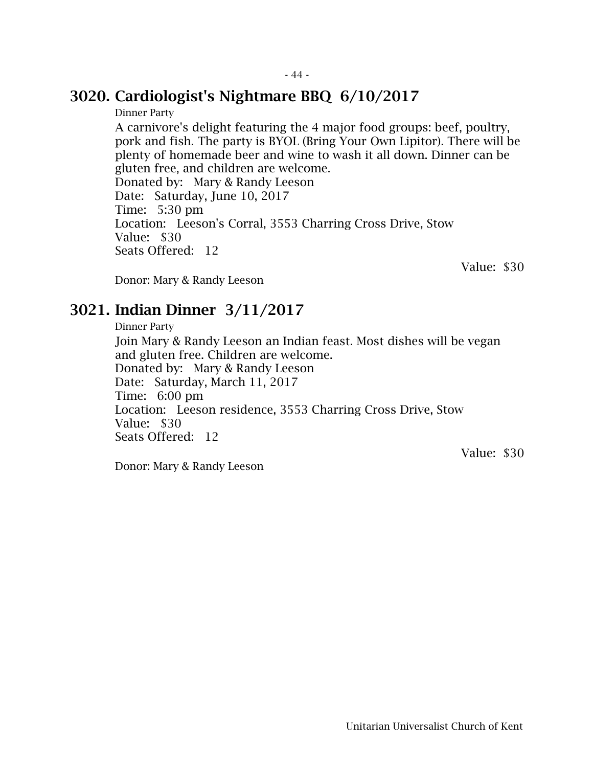#### 3020. Cardiologist's Nightmare BBQ 6/10/2017

Dinner Party

A carnivore's delight featuring the 4 major food groups: beef, poultry, pork and fish. The party is BYOL (Bring Your Own Lipitor). There will be plenty of homemade beer and wine to wash it all down. Dinner can be gluten free, and children are welcome. Donated by: Mary & Randy Leeson Date: Saturday, June 10, 2017 Time: 5:30 pm Location: Leeson's Corral, 3553 Charring Cross Drive, Stow Value: \$30 Seats Offered: 12

Value: \$30

Donor: Mary & Randy Leeson

#### 3021. Indian Dinner 3/11/2017

Dinner Party

Join Mary & Randy Leeson an Indian feast. Most dishes will be vegan and gluten free. Children are welcome. Donated by: Mary & Randy Leeson Date: Saturday, March 11, 2017 Time: 6:00 pm Location: Leeson residence, 3553 Charring Cross Drive, Stow Value: \$30 Seats Offered: 12

Value: \$30

Donor: Mary & Randy Leeson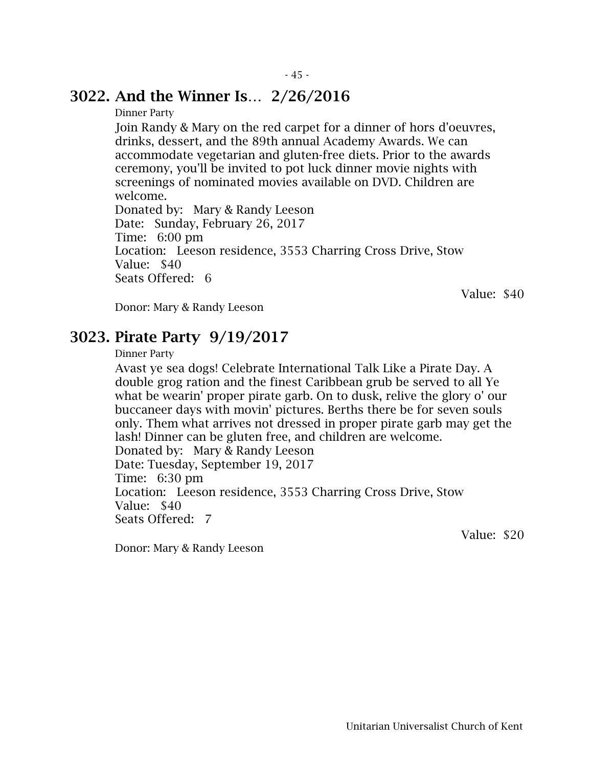#### 3022. And the Winner Is… 2/26/2016

Dinner Party

Join Randy & Mary on the red carpet for a dinner of hors d'oeuvres, drinks, dessert, and the 89th annual Academy Awards. We can accommodate vegetarian and gluten-free diets. Prior to the awards ceremony, you'll be invited to pot luck dinner movie nights with screenings of nominated movies available on DVD. Children are welcome.

Donated by: Mary & Randy Leeson Date: Sunday, February 26, 2017 Time: 6:00 pm Location: Leeson residence, 3553 Charring Cross Drive, Stow Value: \$40 Seats Offered: 6

Value: \$40

Donor: Mary & Randy Leeson

#### 3023. Pirate Party 9/19/2017

Dinner Party

Avast ye sea dogs! Celebrate International Talk Like a Pirate Day. A double grog ration and the finest Caribbean grub be served to all Ye what be wearin' proper pirate garb. On to dusk, relive the glory o' our buccaneer days with movin' pictures. Berths there be for seven souls only. Them what arrives not dressed in proper pirate garb may get the lash! Dinner can be gluten free, and children are welcome. Donated by: Mary & Randy Leeson Date: Tuesday, September 19, 2017 Time: 6:30 pm Location: Leeson residence, 3553 Charring Cross Drive, Stow Value: \$40 Seats Offered: 7

Value: \$20

Donor: Mary & Randy Leeson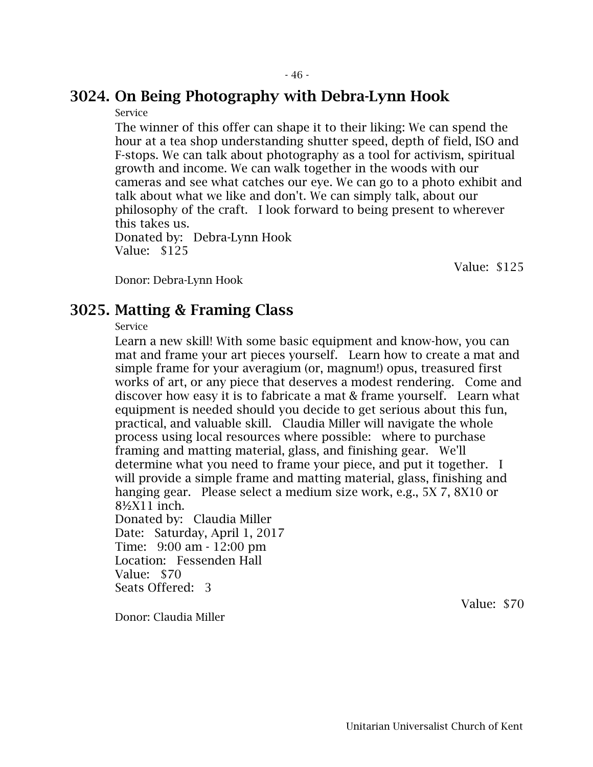# 3024. On Being Photography with Debra-Lynn Hook

Service

The winner of this offer can shape it to their liking: We can spend the hour at a tea shop understanding shutter speed, depth of field, ISO and F-stops. We can talk about photography as a tool for activism, spiritual growth and income. We can walk together in the woods with our cameras and see what catches our eye. We can go to a photo exhibit and talk about what we like and don't. We can simply talk, about our philosophy of the craft. I look forward to being present to wherever this takes us. Donated by: Debra-Lynn Hook

Value: \$125

Value: \$125

Donor: Debra-Lynn Hook

#### 3025. Matting & Framing Class

Service

Learn a new skill! With some basic equipment and know-how, you can mat and frame your art pieces yourself. Learn how to create a mat and simple frame for your averagium (or, magnum!) opus, treasured first works of art, or any piece that deserves a modest rendering. Come and discover how easy it is to fabricate a mat & frame yourself. Learn what equipment is needed should you decide to get serious about this fun, practical, and valuable skill. Claudia Miller will navigate the whole process using local resources where possible: where to purchase framing and matting material, glass, and finishing gear. We'll determine what you need to frame your piece, and put it together. I will provide a simple frame and matting material, glass, finishing and hanging gear. Please select a medium size work, e.g., 5X 7, 8X10 or 8½X11 inch. Donated by: Claudia Miller Date: Saturday, April 1, 2017 Time: 9:00 am - 12:00 pm Location: Fessenden Hall

Value: \$70 Seats Offered: 3

Value: \$70

Donor: Claudia Miller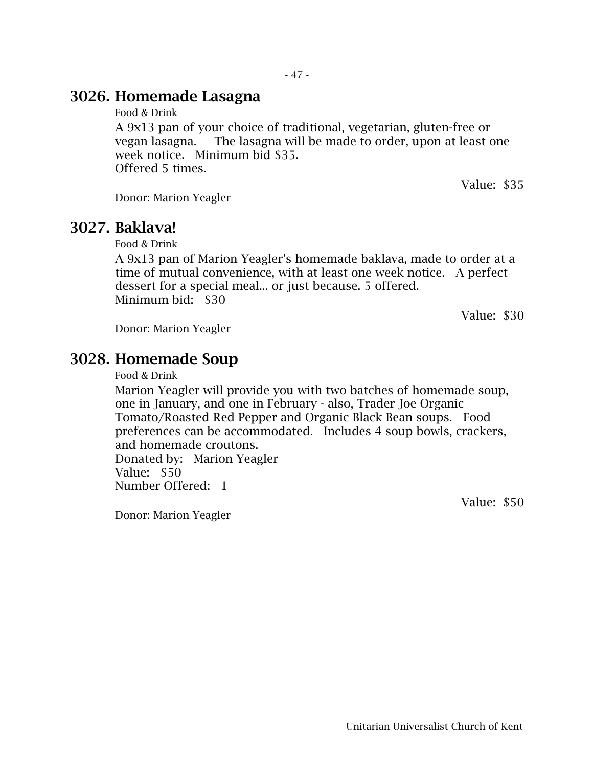### 3026. Homemade Lasagna

Food & Drink

A 9x13 pan of your choice of traditional, vegetarian, gluten-free or vegan lasagna. The lasagna will be made to order, upon at least one week notice. Minimum bid \$35. Offered 5 times.

Value: \$35

Donor: Marion Yeagler

#### 3027. Baklava!

Food & Drink

A 9x13 pan of Marion Yeagler's homemade baklava, made to order at a time of mutual convenience, with at least one week notice. A perfect dessert for a special meal... or just because. 5 offered. Minimum bid: \$30

Value: \$30

Donor: Marion Yeagler

#### 3028. Homemade Soup

Food & Drink

Marion Yeagler will provide you with two batches of homemade soup, one in January, and one in February - also, Trader Joe Organic Tomato/Roasted Red Pepper and Organic Black Bean soups. Food preferences can be accommodated. Includes 4 soup bowls, crackers, and homemade croutons. Donated by: Marion Yeagler Value: \$50 Number Offered: 1

Donor: Marion Yeagler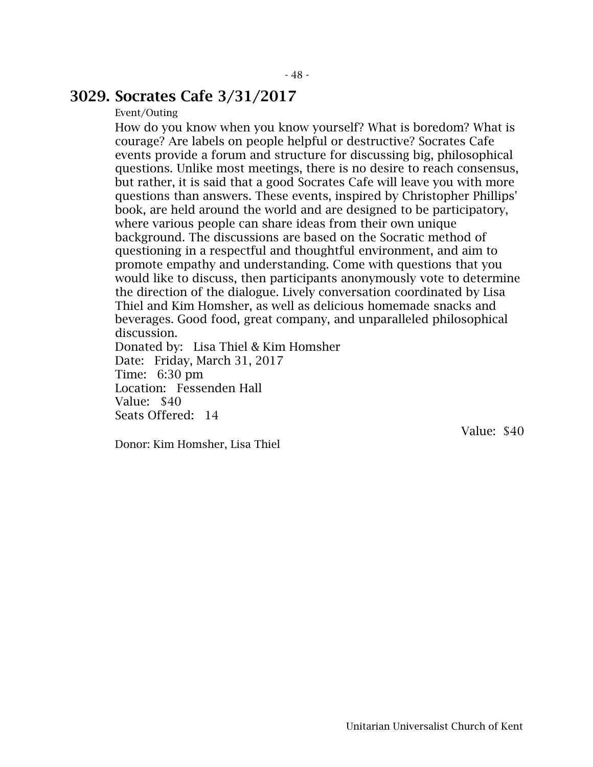#### 3029. Socrates Cafe 3/31/2017

#### Event/Outing

How do you know when you know yourself? What is boredom? What is courage? Are labels on people helpful or destructive? Socrates Cafe events provide a forum and structure for discussing big, philosophical questions. Unlike most meetings, there is no desire to reach consensus, but rather, it is said that a good Socrates Cafe will leave you with more questions than answers. These events, inspired by Christopher Phillips' book, are held around the world and are designed to be participatory, where various people can share ideas from their own unique background. The discussions are based on the Socratic method of questioning in a respectful and thoughtful environment, and aim to promote empathy and understanding. Come with questions that you would like to discuss, then participants anonymously vote to determine the direction of the dialogue. Lively conversation coordinated by Lisa Thiel and Kim Homsher, as well as delicious homemade snacks and beverages. Good food, great company, and unparalleled philosophical discussion.

Donated by: Lisa Thiel & Kim Homsher Date: Friday, March 31, 2017 Time: 6:30 pm Location: Fessenden Hall Value: \$40 Seats Offered: 14

Donor: Kim Homsher, Lisa Thiel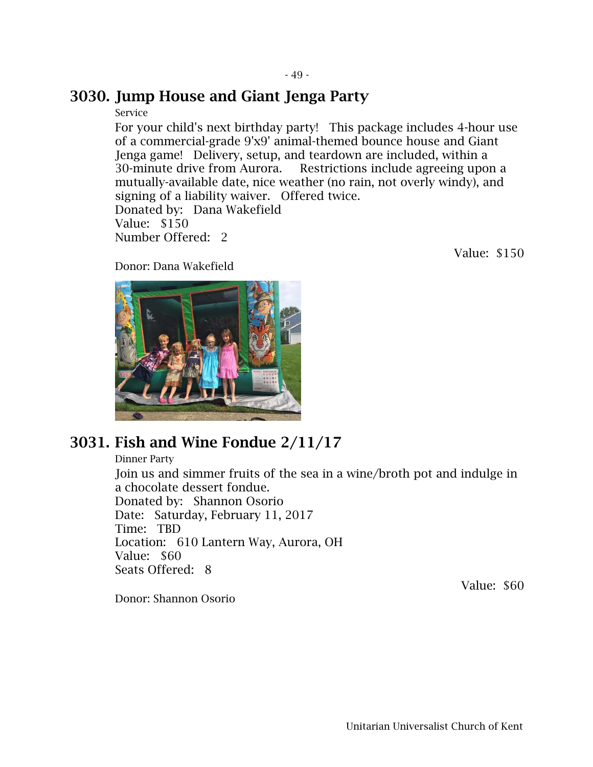#### 3030. Jump House and Giant Jenga Party

#### Service

For your child's next birthday party! This package includes 4-hour use of a commercial-grade 9'x9' animal-themed bounce house and Giant Jenga game! Delivery, setup, and teardown are included, within a 30-minute drive from Aurora. Restrictions include agreeing upon a mutually-available date, nice weather (no rain, not overly windy), and signing of a liability waiver. Offered twice. Donated by: Dana Wakefield Value: \$150 Number Offered: 2

Value: \$150

Donor: Dana Wakefield



## 3031. Fish and Wine Fondue 2/11/17

Dinner Party Join us and simmer fruits of the sea in a wine/broth pot and indulge in a chocolate dessert fondue. Donated by: Shannon Osorio Date: Saturday, February 11, 2017 Time: TBD Location: 610 Lantern Way, Aurora, OH Value: \$60 Seats Offered: 8

Donor: Shannon Osorio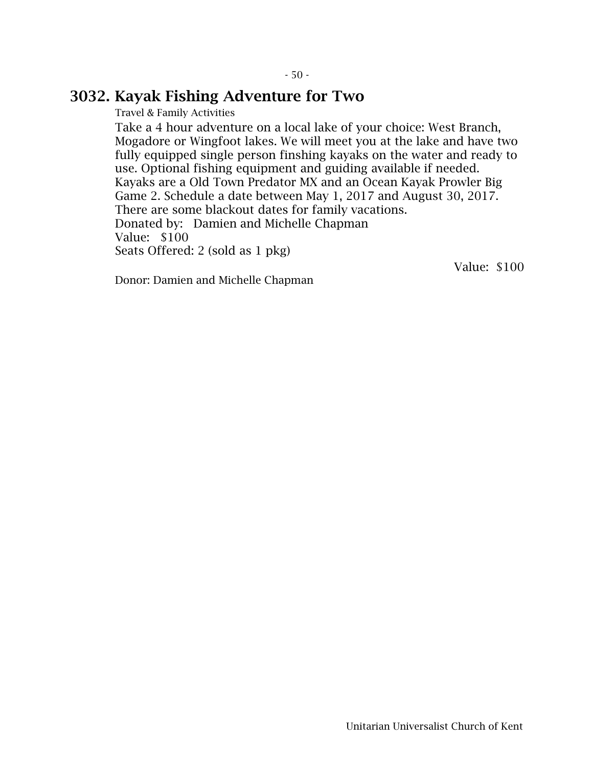#### 3032. Kayak Fishing Adventure for Two

Travel & Family Activities

Take a 4 hour adventure on a local lake of your choice: West Branch, Mogadore or Wingfoot lakes. We will meet you at the lake and have two fully equipped single person finshing kayaks on the water and ready to use. Optional fishing equipment and guiding available if needed. Kayaks are a Old Town Predator MX and an Ocean Kayak Prowler Big Game 2. Schedule a date between May 1, 2017 and August 30, 2017. There are some blackout dates for family vacations. Donated by: Damien and Michelle Chapman Value: \$100 Seats Offered: 2 (sold as 1 pkg)

Donor: Damien and Michelle Chapman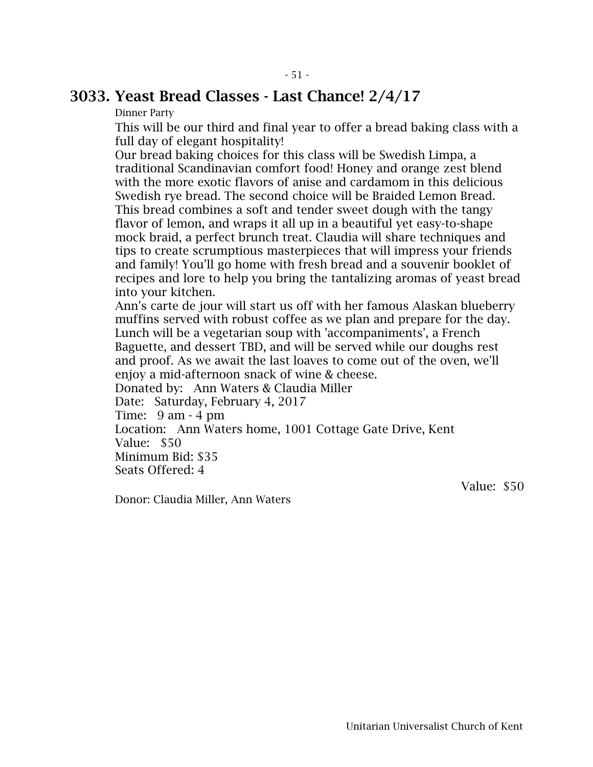#### 3033. Yeast Bread Classes - Last Chance! 2/4/17

Dinner Party

This will be our third and final year to offer a bread baking class with a full day of elegant hospitality!

Our bread baking choices for this class will be Swedish Limpa, a traditional Scandinavian comfort food! Honey and orange zest blend with the more exotic flavors of anise and cardamom in this delicious Swedish rye bread. The second choice will be Braided Lemon Bread. This bread combines a soft and tender sweet dough with the tangy flavor of lemon, and wraps it all up in a beautiful yet easy-to-shape mock braid, a perfect brunch treat. Claudia will share techniques and tips to create scrumptious masterpieces that will impress your friends and family! You'll go home with fresh bread and a souvenir booklet of recipes and lore to help you bring the tantalizing aromas of yeast bread into your kitchen.

Ann's carte de jour will start us off with her famous Alaskan blueberry muffins served with robust coffee as we plan and prepare for the day. Lunch will be a vegetarian soup with 'accompaniments', a French Baguette, and dessert TBD, and will be served while our doughs rest and proof. As we await the last loaves to come out of the oven, we'll enjoy a mid-afternoon snack of wine & cheese.

Donated by: Ann Waters & Claudia Miller

Date: Saturday, February 4, 2017

Time: 9 am - 4 pm

Location: Ann Waters home, 1001 Cottage Gate Drive, Kent Value: \$50

Minimum Bid: \$35

Seats Offered: 4

Value: \$50

Donor: Claudia Miller, Ann Waters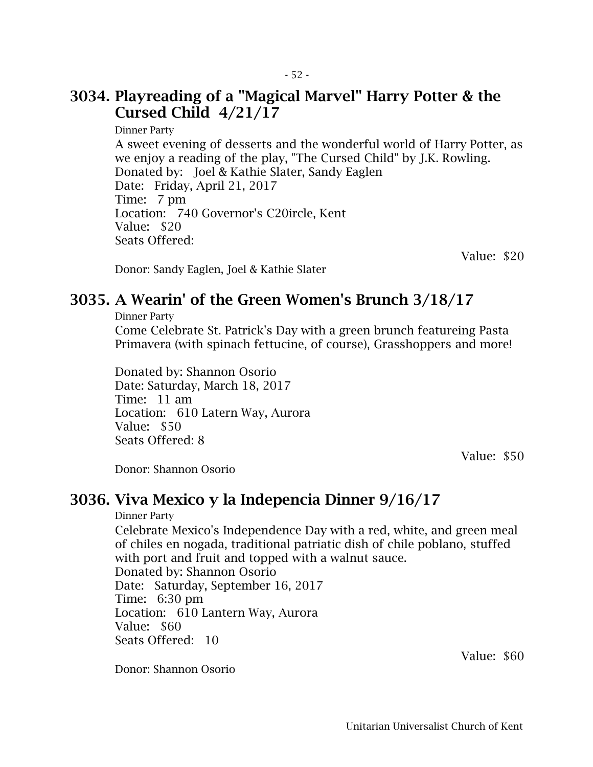### 3034. Playreading of a "Magical Marvel" Harry Potter & the Cursed Child 4/21/17

Dinner Party A sweet evening of desserts and the wonderful world of Harry Potter, as we enjoy a reading of the play, "The Cursed Child" by J.K. Rowling. Donated by: Joel & Kathie Slater, Sandy Eaglen Date: Friday, April 21, 2017 Time: 7 pm Location: 740 Governor's C20ircle, Kent Value: \$20 Seats Offered:

Value: \$20

Donor: Sandy Eaglen, Joel & Kathie Slater

### 3035. A Wearin' of the Green Women's Brunch 3/18/17

Dinner Party

Come Celebrate St. Patrick's Day with a green brunch featureing Pasta Primavera (with spinach fettucine, of course), Grasshoppers and more!

Donated by: Shannon Osorio Date: Saturday, March 18, 2017 Time: 11 am Location: 610 Latern Way, Aurora Value: \$50 Seats Offered: 8

Value: \$50

Donor: Shannon Osorio

#### 3036. Viva Mexico y la Indepencia Dinner 9/16/17

Dinner Party

Celebrate Mexico's Independence Day with a red, white, and green meal of chiles en nogada, traditional patriatic dish of chile poblano, stuffed with port and fruit and topped with a walnut sauce. Donated by: Shannon Osorio Date: Saturday, September 16, 2017 Time: 6:30 pm Location: 610 Lantern Way, Aurora Value: \$60 Seats Offered: 10

Donor: Shannon Osorio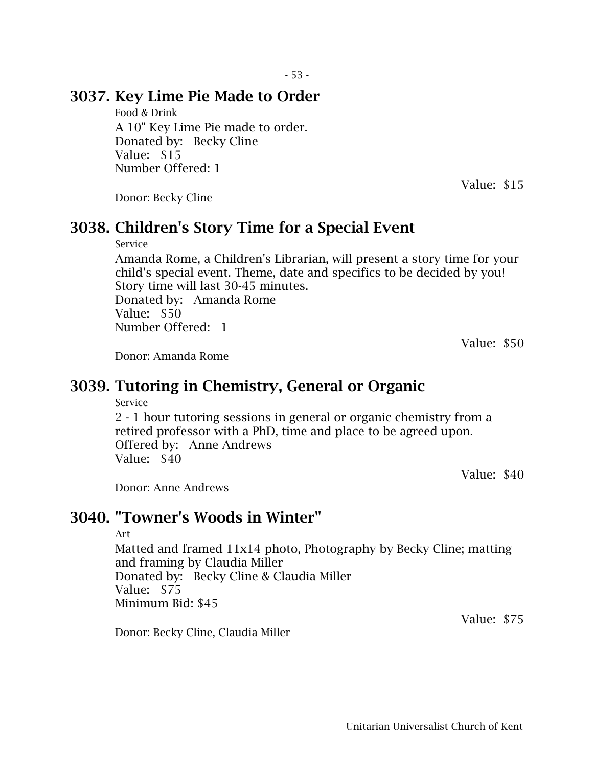### 3037. Key Lime Pie Made to Order

Food & Drink A 10" Key Lime Pie made to order. Donated by: Becky Cline Value: \$15 Number Offered: 1

Value: \$15

Donor: Becky Cline

### 3038. Children's Story Time for a Special Event

#### Service

Amanda Rome, a Children's Librarian, will present a story time for your child's special event. Theme, date and specifics to be decided by you! Story time will last 30-45 minutes. Donated by: Amanda Rome Value: \$50 Number Offered: 1

Value: \$50

Donor: Amanda Rome

### 3039. Tutoring in Chemistry, General or Organic

Service

2 - 1 hour tutoring sessions in general or organic chemistry from a retired professor with a PhD, time and place to be agreed upon. Offered by: Anne Andrews Value: \$40

Value: \$40

Donor: Anne Andrews

### 3040. "Towner's Woods in Winter"

#### Art

Matted and framed 11x14 photo, Photography by Becky Cline; matting and framing by Claudia Miller Donated by: Becky Cline & Claudia Miller Value: \$75 Minimum Bid: \$45

Donor: Becky Cline, Claudia Miller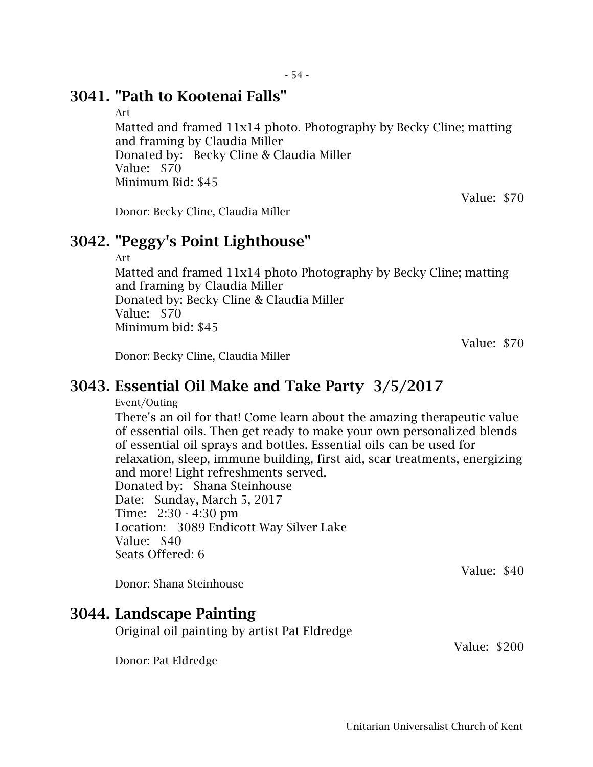#### 3041. "Path to Kootenai Falls"

Art

Matted and framed 11x14 photo. Photography by Becky Cline; matting and framing by Claudia Miller Donated by: Becky Cline & Claudia Miller Value: \$70 Minimum Bid: \$45

Donor: Becky Cline, Claudia Miller

#### 3042. "Peggy's Point Lighthouse"

Art

Matted and framed 11x14 photo Photography by Becky Cline; matting and framing by Claudia Miller Donated by: Becky Cline & Claudia Miller Value: \$70 Minimum bid: \$45

Value: \$70

Value: \$70

Donor: Becky Cline, Claudia Miller

#### 3043. Essential Oil Make and Take Party 3/5/2017

Event/Outing

There's an oil for that! Come learn about the amazing therapeutic value of essential oils. Then get ready to make your own personalized blends of essential oil sprays and bottles. Essential oils can be used for relaxation, sleep, immune building, first aid, scar treatments, energizing and more! Light refreshments served.

Donated by: Shana Steinhouse Date: Sunday, March 5, 2017 Time: 2:30 - 4:30 pm Location: 3089 Endicott Way Silver Lake Value: \$40 Seats Offered: 6

Donor: Shana Steinhouse

### 3044. Landscape Painting

Original oil painting by artist Pat Eldredge

Donor: Pat Eldredge

Value: \$200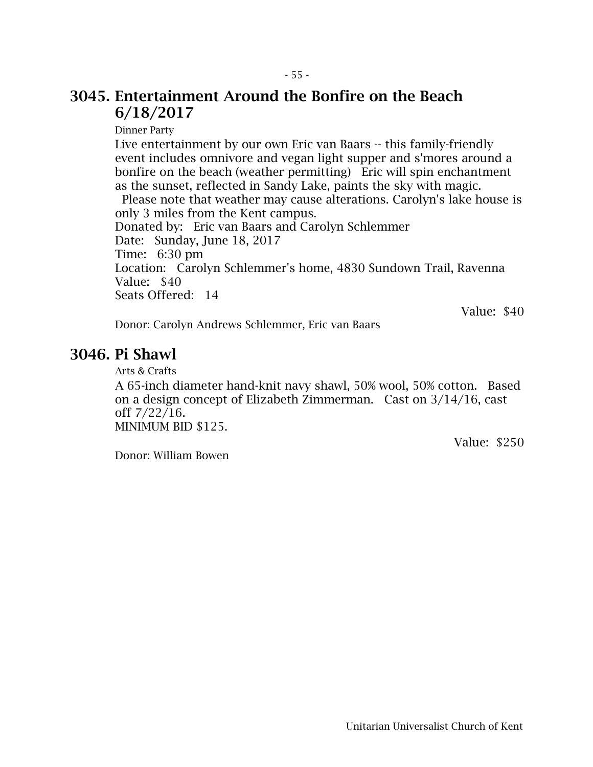#### 3045. Entertainment Around the Bonfire on the Beach 6/18/2017

Dinner Party

Live entertainment by our own Eric van Baars -- this family-friendly event includes omnivore and vegan light supper and s'mores around a bonfire on the beach (weather permitting) Eric will spin enchantment as the sunset, reflected in Sandy Lake, paints the sky with magic.

Please note that weather may cause alterations. Carolyn's lake house is only 3 miles from the Kent campus. Donated by: Eric van Baars and Carolyn Schlemmer

Date: Sunday, June 18, 2017 Time: 6:30 pm

Location: Carolyn Schlemmer's home, 4830 Sundown Trail, Ravenna Value: \$40

Seats Offered: 14

Value: \$40

Value: \$250

Donor: Carolyn Andrews Schlemmer, Eric van Baars

#### 3046. Pi Shawl

Arts & Crafts

A 65-inch diameter hand-knit navy shawl, 50% wool, 50% cotton. Based on a design concept of Elizabeth Zimmerman. Cast on 3/14/16, cast off 7/22/16. MINIMUM BID \$125.

Donor: William Bowen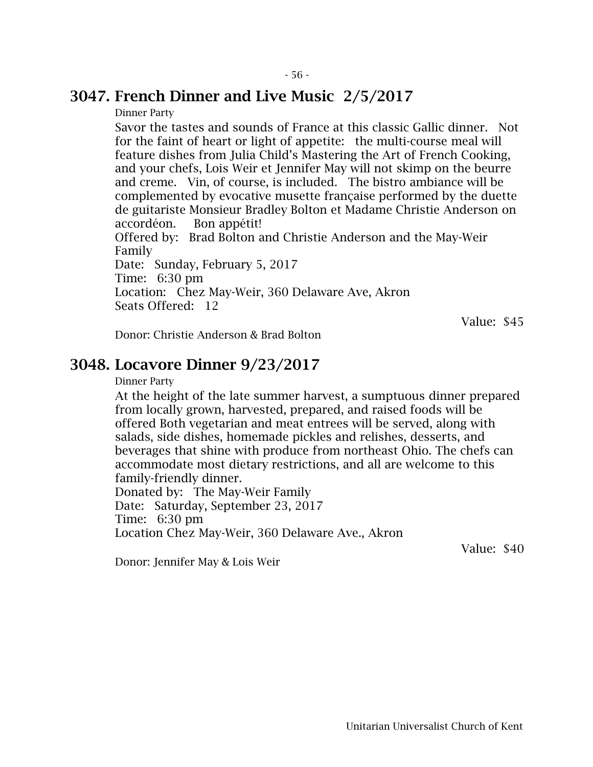#### 3047. French Dinner and Live Music 2/5/2017

Dinner Party

Savor the tastes and sounds of France at this classic Gallic dinner. Not for the faint of heart or light of appetite: the multi-course meal will feature dishes from Julia Child's Mastering the Art of French Cooking, and your chefs, Lois Weir et Jennifer May will not skimp on the beurre and creme. Vin, of course, is included. The bistro ambiance will be complemented by evocative musette française performed by the duette de guitariste Monsieur Bradley Bolton et Madame Christie Anderson on accordéon. Bon appétit! Offered by: Brad Bolton and Christie Anderson and the May-Weir Family Date: Sunday, February 5, 2017 Time: 6:30 pm Location: Chez May-Weir, 360 Delaware Ave, Akron Seats Offered: 12

Value: \$45

Donor: Christie Anderson & Brad Bolton

#### 3048. Locavore Dinner 9/23/2017

Dinner Party

At the height of the late summer harvest, a sumptuous dinner prepared from locally grown, harvested, prepared, and raised foods will be offered Both vegetarian and meat entrees will be served, along with salads, side dishes, homemade pickles and relishes, desserts, and beverages that shine with produce from northeast Ohio. The chefs can accommodate most dietary restrictions, and all are welcome to this family-friendly dinner.

Donated by: The May-Weir Family Date: Saturday, September 23, 2017 Time: 6:30 pm Location Chez May-Weir, 360 Delaware Ave., Akron

Value: \$40

Donor: Jennifer May & Lois Weir